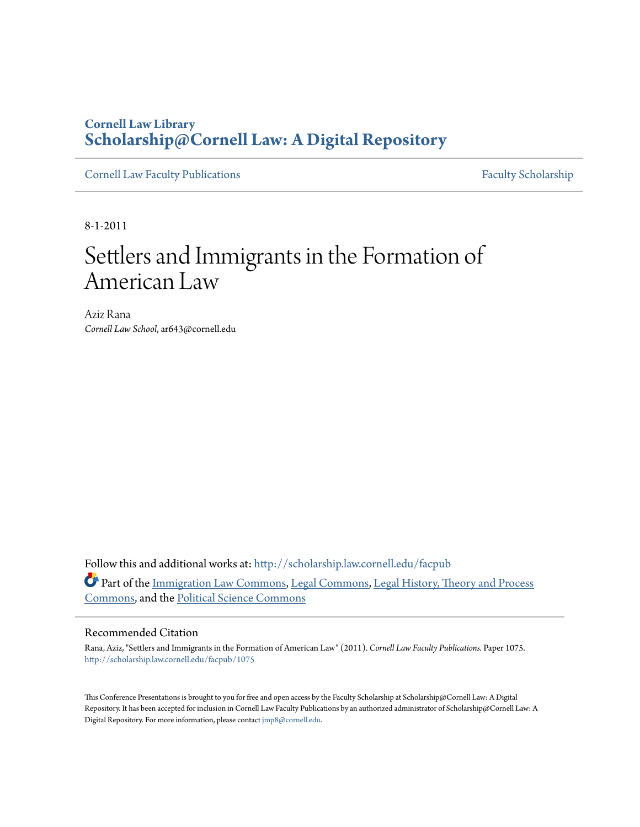# **Cornell Law Library [Scholarship@Cornell Law: A Digital Repository](http://scholarship.law.cornell.edu?utm_source=scholarship.law.cornell.edu%2Ffacpub%2F1075&utm_medium=PDF&utm_campaign=PDFCoverPages)**

[Cornell Law Faculty Publications](http://scholarship.law.cornell.edu/facpub?utm_source=scholarship.law.cornell.edu%2Ffacpub%2F1075&utm_medium=PDF&utm_campaign=PDFCoverPages) [Faculty Scholarship](http://scholarship.law.cornell.edu/facsch?utm_source=scholarship.law.cornell.edu%2Ffacpub%2F1075&utm_medium=PDF&utm_campaign=PDFCoverPages)

8-1-2011

# Settlers and Immigrants in the Formation of American Law

Aziz Rana *Cornell Law School*, ar643@cornell.edu

Follow this and additional works at: [http://scholarship.law.cornell.edu/facpub](http://scholarship.law.cornell.edu/facpub?utm_source=scholarship.law.cornell.edu%2Ffacpub%2F1075&utm_medium=PDF&utm_campaign=PDFCoverPages) Part of the [Immigration Law Commons,](http://network.bepress.com/hgg/discipline/604?utm_source=scholarship.law.cornell.edu%2Ffacpub%2F1075&utm_medium=PDF&utm_campaign=PDFCoverPages) [Legal Commons,](http://network.bepress.com/hgg/discipline/502?utm_source=scholarship.law.cornell.edu%2Ffacpub%2F1075&utm_medium=PDF&utm_campaign=PDFCoverPages) [Legal History, Theory and Process](http://network.bepress.com/hgg/discipline/904?utm_source=scholarship.law.cornell.edu%2Ffacpub%2F1075&utm_medium=PDF&utm_campaign=PDFCoverPages) [Commons,](http://network.bepress.com/hgg/discipline/904?utm_source=scholarship.law.cornell.edu%2Ffacpub%2F1075&utm_medium=PDF&utm_campaign=PDFCoverPages) and the [Political Science Commons](http://network.bepress.com/hgg/discipline/386?utm_source=scholarship.law.cornell.edu%2Ffacpub%2F1075&utm_medium=PDF&utm_campaign=PDFCoverPages)

#### Recommended Citation

Rana, Aziz, "Settlers and Immigrants in the Formation of American Law" (2011). *Cornell Law Faculty Publications.* Paper 1075. [http://scholarship.law.cornell.edu/facpub/1075](http://scholarship.law.cornell.edu/facpub/1075?utm_source=scholarship.law.cornell.edu%2Ffacpub%2F1075&utm_medium=PDF&utm_campaign=PDFCoverPages)

This Conference Presentations is brought to you for free and open access by the Faculty Scholarship at Scholarship@Cornell Law: A Digital Repository. It has been accepted for inclusion in Cornell Law Faculty Publications by an authorized administrator of Scholarship@Cornell Law: A Digital Repository. For more information, please contact [jmp8@cornell.edu.](mailto:jmp8@cornell.edu)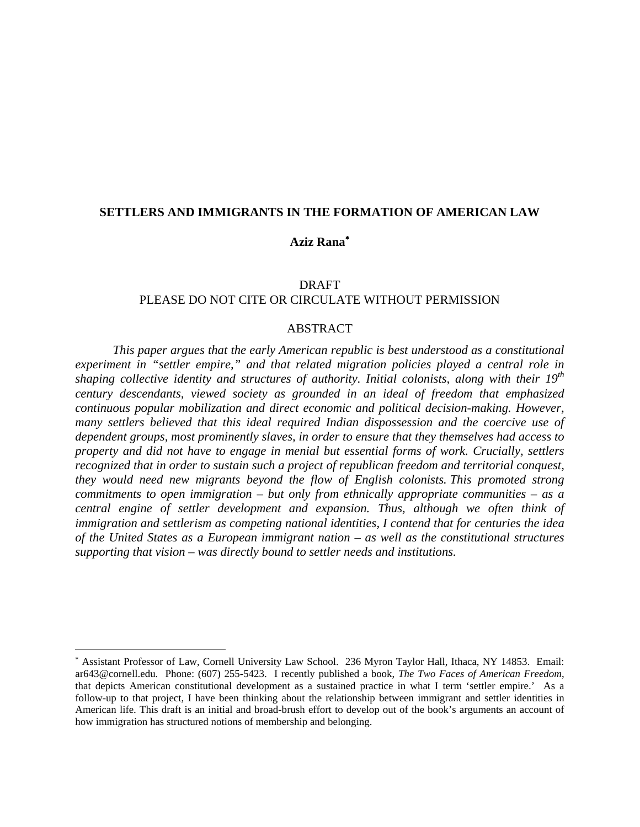# **SETTLERS AND IMMIGRANTS IN THE FORMATION OF AMERICAN LAW**

# **Aziz Rana**

#### DRAFT

# PLEASE DO NOT CITE OR CIRCULATE WITHOUT PERMISSION

#### ABSTRACT

*This paper argues that the early American republic is best understood as a constitutional experiment in "settler empire," and that related migration policies played a central role in shaping collective identity and structures of authority. Initial colonists, along with their 19th century descendants, viewed society as grounded in an ideal of freedom that emphasized continuous popular mobilization and direct economic and political decision-making. However, many settlers believed that this ideal required Indian dispossession and the coercive use of dependent groups, most prominently slaves, in order to ensure that they themselves had access to property and did not have to engage in menial but essential forms of work. Crucially, settlers recognized that in order to sustain such a project of republican freedom and territorial conquest, they would need new migrants beyond the flow of English colonists. This promoted strong commitments to open immigration – but only from ethnically appropriate communities – as a central engine of settler development and expansion. Thus, although we often think of immigration and settlerism as competing national identities, I contend that for centuries the idea of the United States as a European immigrant nation – as well as the constitutional structures supporting that vision – was directly bound to settler needs and institutions.* 

 Assistant Professor of Law, Cornell University Law School. 236 Myron Taylor Hall, Ithaca, NY 14853. Email: ar643@cornell.edu. Phone: (607) 255-5423. I recently published a book, *The Two Faces of American Freedom*, that depicts American constitutional development as a sustained practice in what I term 'settler empire.' As a follow-up to that project, I have been thinking about the relationship between immigrant and settler identities in American life. This draft is an initial and broad-brush effort to develop out of the book's arguments an account of how immigration has structured notions of membership and belonging.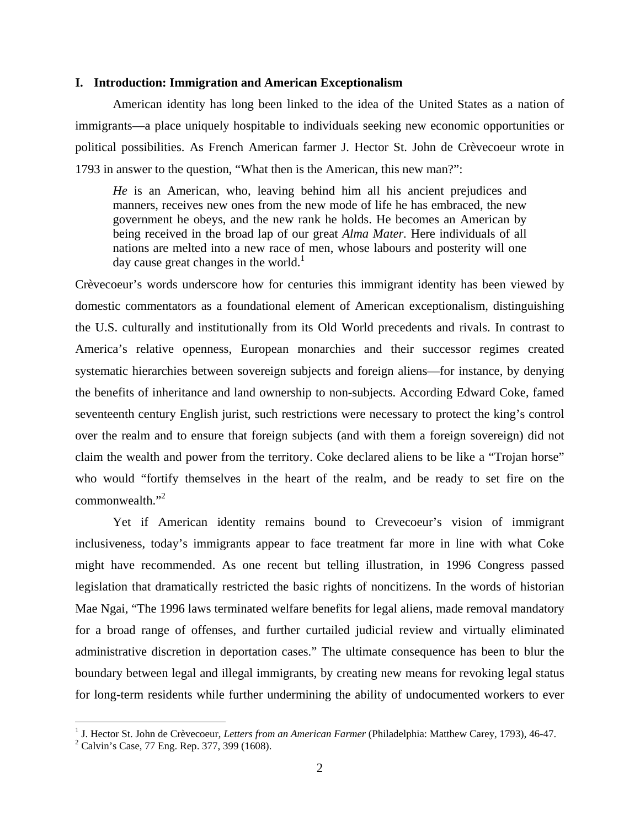### **I. Introduction: Immigration and American Exceptionalism**

American identity has long been linked to the idea of the United States as a nation of immigrants—a place uniquely hospitable to individuals seeking new economic opportunities or political possibilities. As French American farmer J. Hector St. John de Crèvecoeur wrote in 1793 in answer to the question, "What then is the American, this new man?":

*He* is an American, who, leaving behind him all his ancient prejudices and manners, receives new ones from the new mode of life he has embraced, the new government he obeys, and the new rank he holds. He becomes an American by being received in the broad lap of our great *Alma Mater.* Here individuals of all nations are melted into a new race of men, whose labours and posterity will one day cause great changes in the world.<sup>1</sup>

Crèvecoeur's words underscore how for centuries this immigrant identity has been viewed by domestic commentators as a foundational element of American exceptionalism, distinguishing the U.S. culturally and institutionally from its Old World precedents and rivals. In contrast to America's relative openness, European monarchies and their successor regimes created systematic hierarchies between sovereign subjects and foreign aliens—for instance, by denying the benefits of inheritance and land ownership to non-subjects. According Edward Coke, famed seventeenth century English jurist, such restrictions were necessary to protect the king's control over the realm and to ensure that foreign subjects (and with them a foreign sovereign) did not claim the wealth and power from the territory. Coke declared aliens to be like a "Trojan horse" who would "fortify themselves in the heart of the realm, and be ready to set fire on the commonwealth."<sup>2</sup>

Yet if American identity remains bound to Crevecoeur's vision of immigrant inclusiveness, today's immigrants appear to face treatment far more in line with what Coke might have recommended. As one recent but telling illustration, in 1996 Congress passed legislation that dramatically restricted the basic rights of noncitizens. In the words of historian Mae Ngai, "The 1996 laws terminated welfare benefits for legal aliens, made removal mandatory for a broad range of offenses, and further curtailed judicial review and virtually eliminated administrative discretion in deportation cases." The ultimate consequence has been to blur the boundary between legal and illegal immigrants, by creating new means for revoking legal status for long-term residents while further undermining the ability of undocumented workers to ever

<sup>&</sup>lt;sup>1</sup> J. Hector St. John de Crèvecoeur, *Letters from an American Farmer* (Philadelphia: Matthew Carey, 1793), 46-47.

<sup>&</sup>lt;sup>2</sup> Calvin's Case, 77 Eng. Rep. 377, 399 (1608).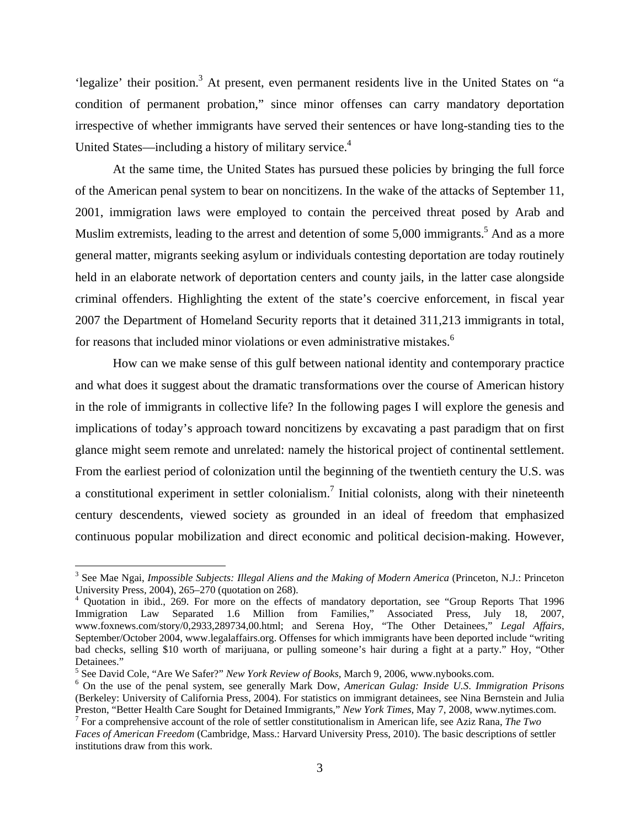'legalize' their position.<sup>3</sup> At present, even permanent residents live in the United States on "a condition of permanent probation," since minor offenses can carry mandatory deportation irrespective of whether immigrants have served their sentences or have long-standing ties to the United States—including a history of military service.<sup>4</sup>

 At the same time, the United States has pursued these policies by bringing the full force of the American penal system to bear on noncitizens. In the wake of the attacks of September 11, 2001, immigration laws were employed to contain the perceived threat posed by Arab and Muslim extremists, leading to the arrest and detention of some 5,000 immigrants.<sup>5</sup> And as a more general matter, migrants seeking asylum or individuals contesting deportation are today routinely held in an elaborate network of deportation centers and county jails, in the latter case alongside criminal offenders. Highlighting the extent of the state's coercive enforcement, in fiscal year 2007 the Department of Homeland Security reports that it detained 311,213 immigrants in total, for reasons that included minor violations or even administrative mistakes.<sup>6</sup>

 How can we make sense of this gulf between national identity and contemporary practice and what does it suggest about the dramatic transformations over the course of American history in the role of immigrants in collective life? In the following pages I will explore the genesis and implications of today's approach toward noncitizens by excavating a past paradigm that on first glance might seem remote and unrelated: namely the historical project of continental settlement. From the earliest period of colonization until the beginning of the twentieth century the U.S. was a constitutional experiment in settler colonialism.<sup>7</sup> Initial colonists, along with their nineteenth century descendents, viewed society as grounded in an ideal of freedom that emphasized continuous popular mobilization and direct economic and political decision-making. However,

<sup>&</sup>lt;sup>3</sup> See Mae Ngai, *Impossible Subjects: Illegal Aliens and the Making of Modern America* (Princeton, N.J.: Princeton University Press, 2004), 265–270 (quotation on 268).<br><sup>4</sup> Quotation in ibid., 269. For more on the effects of mandatory deportation, see "Group Reports That 1996

Immigration Law Separated 1.6 Million from Families," Associated Press, July 18, 2007, www.foxnews.com/story/0,2933,289734,00.html; and Serena Hoy, "The Other Detainees," *Legal Affairs,* September/October 2004, www.legalaffairs.org. Offenses for which immigrants have been deported include "writing bad checks, selling \$10 worth of marijuana, or pulling someone's hair during a fight at a party." Hoy, "Other Detainees."

<sup>&</sup>lt;sup>5</sup> See David Cole, "Are We Safer?" *New York Review of Books*, March 9, 2006, www.nybooks.com.<br><sup>6</sup> On the use of the panel sustame see congrally Mark Dowy American Culgar Inside II S. Juni

On the use of the penal system, see generally Mark Dow, *American Gulag: Inside U.S*. *Immigration Prisons* (Berkeley: University of California Press, 2004). For statistics on immigrant detainees, see Nina Bernstein and Julia Preston, "Better Health Care Sought for Detained Immigrants," *New York Times,* May 7, 2008, www.nytimes.com. 7 For a comprehensive account of the role of settler constitutionalism in American life, see Aziz Rana, *The Two* 

*Faces of American Freedom* (Cambridge, Mass.: Harvard University Press, 2010). The basic descriptions of settler institutions draw from this work.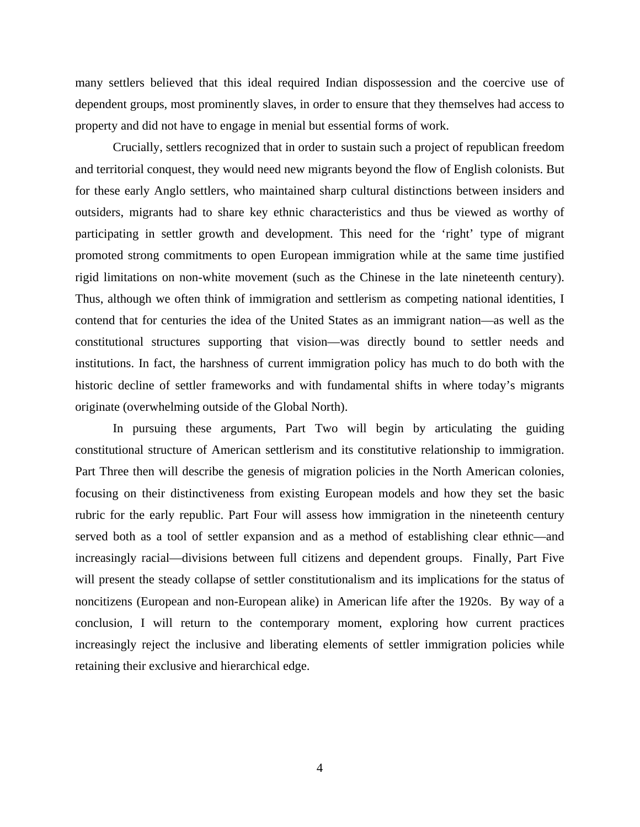many settlers believed that this ideal required Indian dispossession and the coercive use of dependent groups, most prominently slaves, in order to ensure that they themselves had access to property and did not have to engage in menial but essential forms of work.

Crucially, settlers recognized that in order to sustain such a project of republican freedom and territorial conquest, they would need new migrants beyond the flow of English colonists. But for these early Anglo settlers, who maintained sharp cultural distinctions between insiders and outsiders, migrants had to share key ethnic characteristics and thus be viewed as worthy of participating in settler growth and development. This need for the 'right' type of migrant promoted strong commitments to open European immigration while at the same time justified rigid limitations on non-white movement (such as the Chinese in the late nineteenth century). Thus, although we often think of immigration and settlerism as competing national identities, I contend that for centuries the idea of the United States as an immigrant nation—as well as the constitutional structures supporting that vision—was directly bound to settler needs and institutions. In fact, the harshness of current immigration policy has much to do both with the historic decline of settler frameworks and with fundamental shifts in where today's migrants originate (overwhelming outside of the Global North).

In pursuing these arguments, Part Two will begin by articulating the guiding constitutional structure of American settlerism and its constitutive relationship to immigration. Part Three then will describe the genesis of migration policies in the North American colonies, focusing on their distinctiveness from existing European models and how they set the basic rubric for the early republic. Part Four will assess how immigration in the nineteenth century served both as a tool of settler expansion and as a method of establishing clear ethnic—and increasingly racial—divisions between full citizens and dependent groups. Finally, Part Five will present the steady collapse of settler constitutionalism and its implications for the status of noncitizens (European and non-European alike) in American life after the 1920s. By way of a conclusion, I will return to the contemporary moment, exploring how current practices increasingly reject the inclusive and liberating elements of settler immigration policies while retaining their exclusive and hierarchical edge.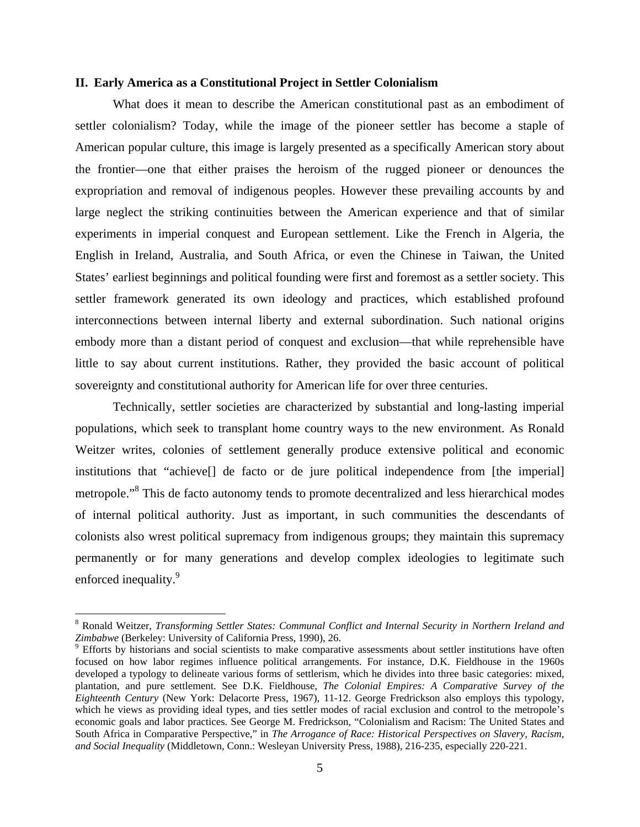### **II. Early America as a Constitutional Project in Settler Colonialism**

What does it mean to describe the American constitutional past as an embodiment of settler colonialism? Today, while the image of the pioneer settler has become a staple of American popular culture, this image is largely presented as a specifically American story about the frontier—one that either praises the heroism of the rugged pioneer or denounces the expropriation and removal of indigenous peoples. However these prevailing accounts by and large neglect the striking continuities between the American experience and that of similar experiments in imperial conquest and European settlement. Like the French in Algeria, the English in Ireland, Australia, and South Africa, or even the Chinese in Taiwan, the United States' earliest beginnings and political founding were first and foremost as a settler society. This settler framework generated its own ideology and practices, which established profound interconnections between internal liberty and external subordination. Such national origins embody more than a distant period of conquest and exclusion—that while reprehensible have little to say about current institutions. Rather, they provided the basic account of political sovereignty and constitutional authority for American life for over three centuries.

Technically, settler societies are characterized by substantial and long-lasting imperial populations, which seek to transplant home country ways to the new environment. As Ronald Weitzer writes, colonies of settlement generally produce extensive political and economic institutions that "achieve[] de facto or de jure political independence from [the imperial] metropole."<sup>8</sup> This de facto autonomy tends to promote decentralized and less hierarchical modes of internal political authority. Just as important, in such communities the descendants of colonists also wrest political supremacy from indigenous groups; they maintain this supremacy permanently or for many generations and develop complex ideologies to legitimate such enforced inequality.<sup>9</sup>

<sup>8</sup> Ronald Weitzer, *Transforming Settler States: Communal Conflict and Internal Security in Northern Ireland and*  Zimbabwe (Berkeley: University of California Press, 1990), 26.

<sup>&</sup>lt;sup>9</sup> Efforts by historians and social scientists to make comparative assessments about settler institutions have often focused on how labor regimes influence political arrangements. For instance, D.K. Fieldhouse in the 1960s developed a typology to delineate various forms of settlerism, which he divides into three basic categories: mixed, plantation, and pure settlement. See D.K. Fieldhouse, *The Colonial Empires: A Comparative Survey of the Eighteenth Century* (New York: Delacorte Press, 1967), 11-12. George Fredrickson also employs this typology, which he views as providing ideal types, and ties settler modes of racial exclusion and control to the metropole's economic goals and labor practices. See George M. Fredrickson, "Colonialism and Racism: The United States and South Africa in Comparative Perspective," in *The Arrogance of Race: Historical Perspectives on Slavery, Racism, and Social Inequality* (Middletown, Conn.: Wesleyan University Press, 1988), 216-235, especially 220-221.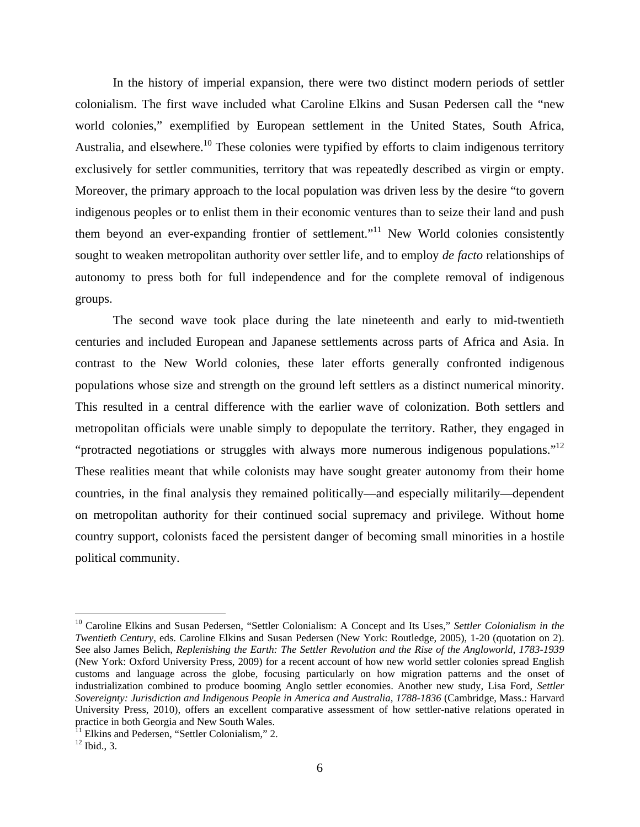In the history of imperial expansion, there were two distinct modern periods of settler colonialism. The first wave included what Caroline Elkins and Susan Pedersen call the "new world colonies," exemplified by European settlement in the United States, South Africa, Australia, and elsewhere.<sup>10</sup> These colonies were typified by efforts to claim indigenous territory exclusively for settler communities, territory that was repeatedly described as virgin or empty. Moreover, the primary approach to the local population was driven less by the desire "to govern indigenous peoples or to enlist them in their economic ventures than to seize their land and push them beyond an ever-expanding frontier of settlement."<sup>11</sup> New World colonies consistently sought to weaken metropolitan authority over settler life, and to employ *de facto* relationships of autonomy to press both for full independence and for the complete removal of indigenous groups.

The second wave took place during the late nineteenth and early to mid-twentieth centuries and included European and Japanese settlements across parts of Africa and Asia. In contrast to the New World colonies, these later efforts generally confronted indigenous populations whose size and strength on the ground left settlers as a distinct numerical minority. This resulted in a central difference with the earlier wave of colonization. Both settlers and metropolitan officials were unable simply to depopulate the territory. Rather, they engaged in "protracted negotiations or struggles with always more numerous indigenous populations."<sup>12</sup> These realities meant that while colonists may have sought greater autonomy from their home countries, in the final analysis they remained politically—and especially militarily—dependent on metropolitan authority for their continued social supremacy and privilege. Without home country support, colonists faced the persistent danger of becoming small minorities in a hostile political community.

<sup>10</sup> Caroline Elkins and Susan Pedersen, "Settler Colonialism: A Concept and Its Uses," *Settler Colonialism in the Twentieth Century*, eds. Caroline Elkins and Susan Pedersen (New York: Routledge, 2005), 1-20 (quotation on 2). See also James Belich, *Replenishing the Earth: The Settler Revolution and the Rise of the Angloworld, 1783-1939* (New York: Oxford University Press, 2009) for a recent account of how new world settler colonies spread English customs and language across the globe, focusing particularly on how migration patterns and the onset of industrialization combined to produce booming Anglo settler economies. Another new study, Lisa Ford, *Settler Sovereignty: Jurisdiction and Indigenous People in America and Australia, 1788-1836* (Cambridge, Mass.: Harvard University Press, 2010), offers an excellent comparative assessment of how settler-native relations operated in practice in both Georgia and New South Wales.

<sup>&</sup>lt;sup>11</sup> Elkins and Pedersen, "Settler Colonialism," 2.

 $12$  Ibid., 3.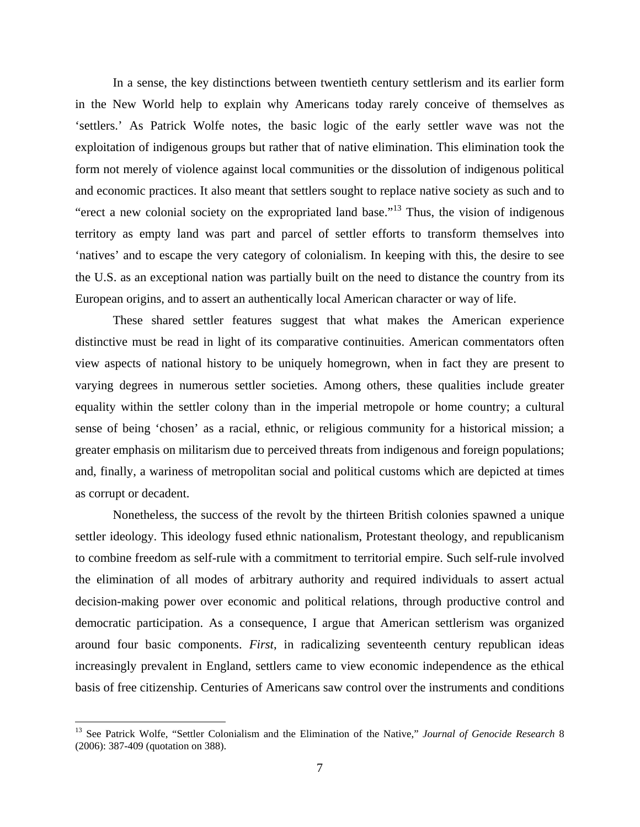In a sense, the key distinctions between twentieth century settlerism and its earlier form in the New World help to explain why Americans today rarely conceive of themselves as 'settlers.' As Patrick Wolfe notes, the basic logic of the early settler wave was not the exploitation of indigenous groups but rather that of native elimination. This elimination took the form not merely of violence against local communities or the dissolution of indigenous political and economic practices. It also meant that settlers sought to replace native society as such and to "erect a new colonial society on the expropriated land base."13 Thus, the vision of indigenous territory as empty land was part and parcel of settler efforts to transform themselves into 'natives' and to escape the very category of colonialism. In keeping with this, the desire to see the U.S. as an exceptional nation was partially built on the need to distance the country from its European origins, and to assert an authentically local American character or way of life.

 These shared settler features suggest that what makes the American experience distinctive must be read in light of its comparative continuities. American commentators often view aspects of national history to be uniquely homegrown, when in fact they are present to varying degrees in numerous settler societies. Among others, these qualities include greater equality within the settler colony than in the imperial metropole or home country; a cultural sense of being 'chosen' as a racial, ethnic, or religious community for a historical mission; a greater emphasis on militarism due to perceived threats from indigenous and foreign populations; and, finally, a wariness of metropolitan social and political customs which are depicted at times as corrupt or decadent.

Nonetheless, the success of the revolt by the thirteen British colonies spawned a unique settler ideology. This ideology fused ethnic nationalism, Protestant theology, and republicanism to combine freedom as self-rule with a commitment to territorial empire. Such self-rule involved the elimination of all modes of arbitrary authority and required individuals to assert actual decision-making power over economic and political relations, through productive control and democratic participation. As a consequence, I argue that American settlerism was organized around four basic components. *First*, in radicalizing seventeenth century republican ideas increasingly prevalent in England, settlers came to view economic independence as the ethical basis of free citizenship. Centuries of Americans saw control over the instruments and conditions

<sup>&</sup>lt;sup>13</sup> See Patrick Wolfe, "Settler Colonialism and the Elimination of the Native," *Journal of Genocide Research* 8 (2006): 387-409 (quotation on 388).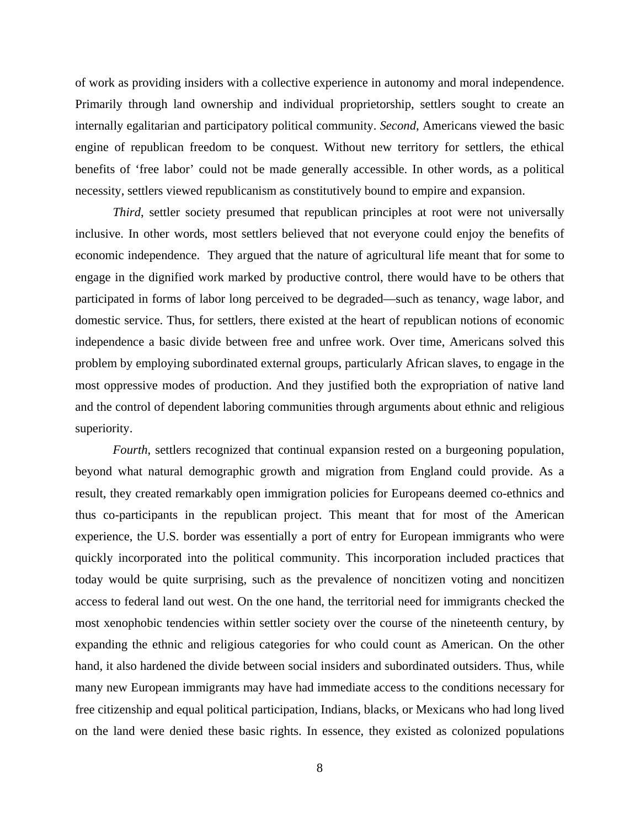of work as providing insiders with a collective experience in autonomy and moral independence. Primarily through land ownership and individual proprietorship, settlers sought to create an internally egalitarian and participatory political community. *Second*, Americans viewed the basic engine of republican freedom to be conquest. Without new territory for settlers, the ethical benefits of 'free labor' could not be made generally accessible. In other words, as a political necessity, settlers viewed republicanism as constitutively bound to empire and expansion.

*Third*, settler society presumed that republican principles at root were not universally inclusive. In other words, most settlers believed that not everyone could enjoy the benefits of economic independence. They argued that the nature of agricultural life meant that for some to engage in the dignified work marked by productive control, there would have to be others that participated in forms of labor long perceived to be degraded—such as tenancy, wage labor, and domestic service. Thus, for settlers, there existed at the heart of republican notions of economic independence a basic divide between free and unfree work. Over time, Americans solved this problem by employing subordinated external groups, particularly African slaves, to engage in the most oppressive modes of production. And they justified both the expropriation of native land and the control of dependent laboring communities through arguments about ethnic and religious superiority.

*Fourth*, settlers recognized that continual expansion rested on a burgeoning population, beyond what natural demographic growth and migration from England could provide. As a result, they created remarkably open immigration policies for Europeans deemed co-ethnics and thus co-participants in the republican project. This meant that for most of the American experience, the U.S. border was essentially a port of entry for European immigrants who were quickly incorporated into the political community. This incorporation included practices that today would be quite surprising, such as the prevalence of noncitizen voting and noncitizen access to federal land out west. On the one hand, the territorial need for immigrants checked the most xenophobic tendencies within settler society over the course of the nineteenth century, by expanding the ethnic and religious categories for who could count as American. On the other hand, it also hardened the divide between social insiders and subordinated outsiders. Thus, while many new European immigrants may have had immediate access to the conditions necessary for free citizenship and equal political participation, Indians, blacks, or Mexicans who had long lived on the land were denied these basic rights. In essence, they existed as colonized populations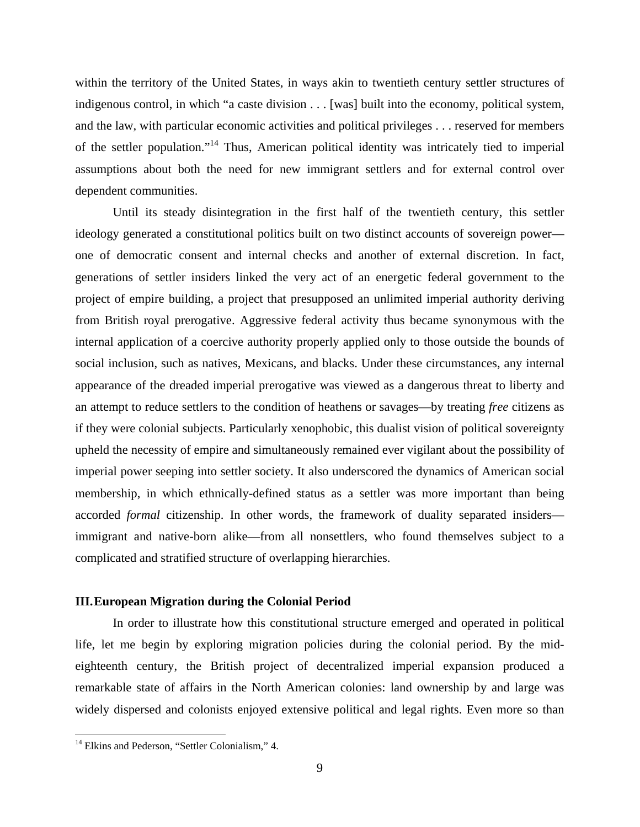within the territory of the United States, in ways akin to twentieth century settler structures of indigenous control, in which "a caste division . . . [was] built into the economy, political system, and the law, with particular economic activities and political privileges . . . reserved for members of the settler population."14 Thus, American political identity was intricately tied to imperial assumptions about both the need for new immigrant settlers and for external control over dependent communities.

Until its steady disintegration in the first half of the twentieth century, this settler ideology generated a constitutional politics built on two distinct accounts of sovereign power one of democratic consent and internal checks and another of external discretion. In fact, generations of settler insiders linked the very act of an energetic federal government to the project of empire building, a project that presupposed an unlimited imperial authority deriving from British royal prerogative. Aggressive federal activity thus became synonymous with the internal application of a coercive authority properly applied only to those outside the bounds of social inclusion, such as natives, Mexicans, and blacks. Under these circumstances, any internal appearance of the dreaded imperial prerogative was viewed as a dangerous threat to liberty and an attempt to reduce settlers to the condition of heathens or savages—by treating *free* citizens as if they were colonial subjects. Particularly xenophobic, this dualist vision of political sovereignty upheld the necessity of empire and simultaneously remained ever vigilant about the possibility of imperial power seeping into settler society. It also underscored the dynamics of American social membership, in which ethnically-defined status as a settler was more important than being accorded *formal* citizenship. In other words, the framework of duality separated insiders immigrant and native-born alike—from all nonsettlers, who found themselves subject to a complicated and stratified structure of overlapping hierarchies.

#### **III.European Migration during the Colonial Period**

In order to illustrate how this constitutional structure emerged and operated in political life, let me begin by exploring migration policies during the colonial period. By the mideighteenth century, the British project of decentralized imperial expansion produced a remarkable state of affairs in the North American colonies: land ownership by and large was widely dispersed and colonists enjoyed extensive political and legal rights. Even more so than

<u>.</u>

<sup>&</sup>lt;sup>14</sup> Elkins and Pederson, "Settler Colonialism," 4.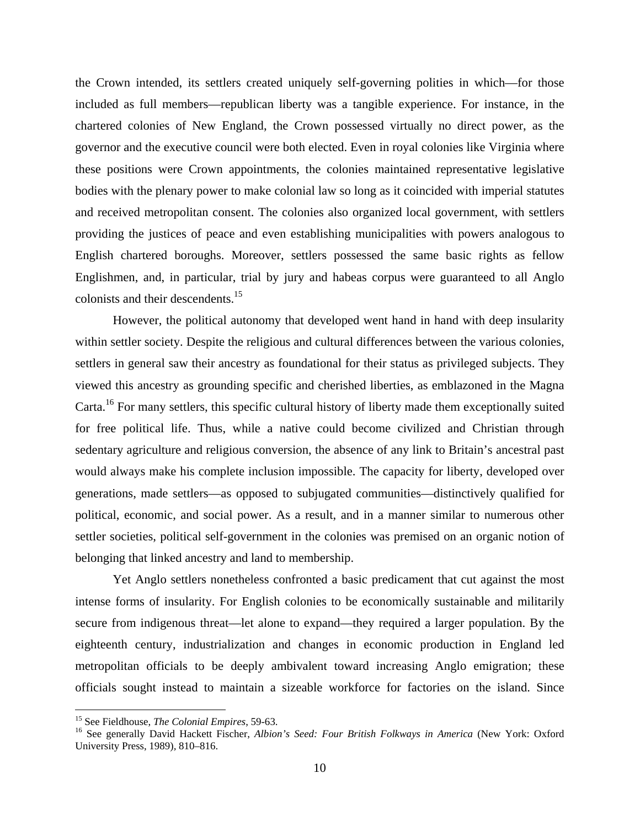the Crown intended, its settlers created uniquely self-governing polities in which—for those included as full members—republican liberty was a tangible experience. For instance, in the chartered colonies of New England, the Crown possessed virtually no direct power, as the governor and the executive council were both elected. Even in royal colonies like Virginia where these positions were Crown appointments, the colonies maintained representative legislative bodies with the plenary power to make colonial law so long as it coincided with imperial statutes and received metropolitan consent. The colonies also organized local government, with settlers providing the justices of peace and even establishing municipalities with powers analogous to English chartered boroughs. Moreover, settlers possessed the same basic rights as fellow Englishmen, and, in particular, trial by jury and habeas corpus were guaranteed to all Anglo colonists and their descendents.<sup>15</sup>

However, the political autonomy that developed went hand in hand with deep insularity within settler society. Despite the religious and cultural differences between the various colonies, settlers in general saw their ancestry as foundational for their status as privileged subjects. They viewed this ancestry as grounding specific and cherished liberties, as emblazoned in the Magna Carta.16 For many settlers, this specific cultural history of liberty made them exceptionally suited for free political life. Thus, while a native could become civilized and Christian through sedentary agriculture and religious conversion, the absence of any link to Britain's ancestral past would always make his complete inclusion impossible. The capacity for liberty, developed over generations, made settlers—as opposed to subjugated communities—distinctively qualified for political, economic, and social power. As a result, and in a manner similar to numerous other settler societies, political self-government in the colonies was premised on an organic notion of belonging that linked ancestry and land to membership.

Yet Anglo settlers nonetheless confronted a basic predicament that cut against the most intense forms of insularity. For English colonies to be economically sustainable and militarily secure from indigenous threat—let alone to expand—they required a larger population. By the eighteenth century, industrialization and changes in economic production in England led metropolitan officials to be deeply ambivalent toward increasing Anglo emigration; these officials sought instead to maintain a sizeable workforce for factories on the island. Since

<sup>&</sup>lt;sup>15</sup> See Fieldhouse, *The Colonial Empires*, 59-63.<br><sup>16</sup> See generally David Hackett Fischer, *Albion's Seed: Four British Folkways in America* (New York: Oxford University Press, 1989)*,* 810–816.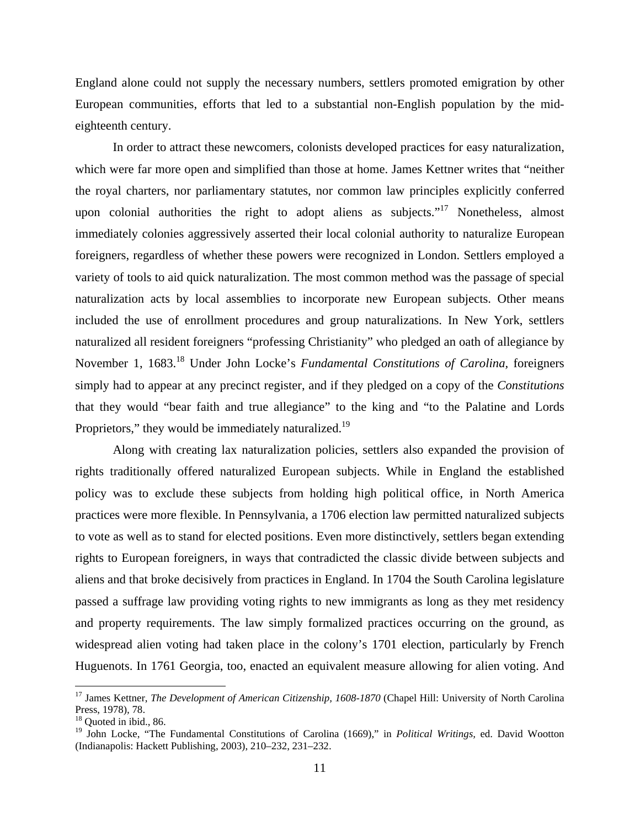England alone could not supply the necessary numbers, settlers promoted emigration by other European communities, efforts that led to a substantial non-English population by the mideighteenth century.

In order to attract these newcomers, colonists developed practices for easy naturalization, which were far more open and simplified than those at home. James Kettner writes that "neither the royal charters, nor parliamentary statutes, nor common law principles explicitly conferred upon colonial authorities the right to adopt aliens as subjects."<sup>17</sup> Nonetheless, almost immediately colonies aggressively asserted their local colonial authority to naturalize European foreigners, regardless of whether these powers were recognized in London. Settlers employed a variety of tools to aid quick naturalization. The most common method was the passage of special naturalization acts by local assemblies to incorporate new European subjects. Other means included the use of enrollment procedures and group naturalizations. In New York, settlers naturalized all resident foreigners "professing Christianity" who pledged an oath of allegiance by November 1, 1683.18 Under John Locke's *Fundamental Constitutions of Carolina,* foreigners simply had to appear at any precinct register, and if they pledged on a copy of the *Constitutions* that they would "bear faith and true allegiance" to the king and "to the Palatine and Lords Proprietors," they would be immediately naturalized.<sup>19</sup>

Along with creating lax naturalization policies, settlers also expanded the provision of rights traditionally offered naturalized European subjects. While in England the established policy was to exclude these subjects from holding high political office, in North America practices were more flexible. In Pennsylvania, a 1706 election law permitted naturalized subjects to vote as well as to stand for elected positions. Even more distinctively, settlers began extending rights to European foreigners, in ways that contradicted the classic divide between subjects and aliens and that broke decisively from practices in England. In 1704 the South Carolina legislature passed a suffrage law providing voting rights to new immigrants as long as they met residency and property requirements. The law simply formalized practices occurring on the ground, as widespread alien voting had taken place in the colony's 1701 election, particularly by French Huguenots. In 1761 Georgia, too, enacted an equivalent measure allowing for alien voting. And

<sup>&</sup>lt;sup>17</sup> James Kettner, *The Development of American Citizenship, 1608-1870* (Chapel Hill: University of North Carolina<br>Press, 1978), 78. Press, 1978), 78.<br><sup>18</sup> Quoted in ibid., 86.

<sup>19</sup> John Locke, "The Fundamental Constitutions of Carolina (1669)," in *Political Writings,* ed. David Wootton (Indianapolis: Hackett Publishing, 2003), 210–232, 231–232.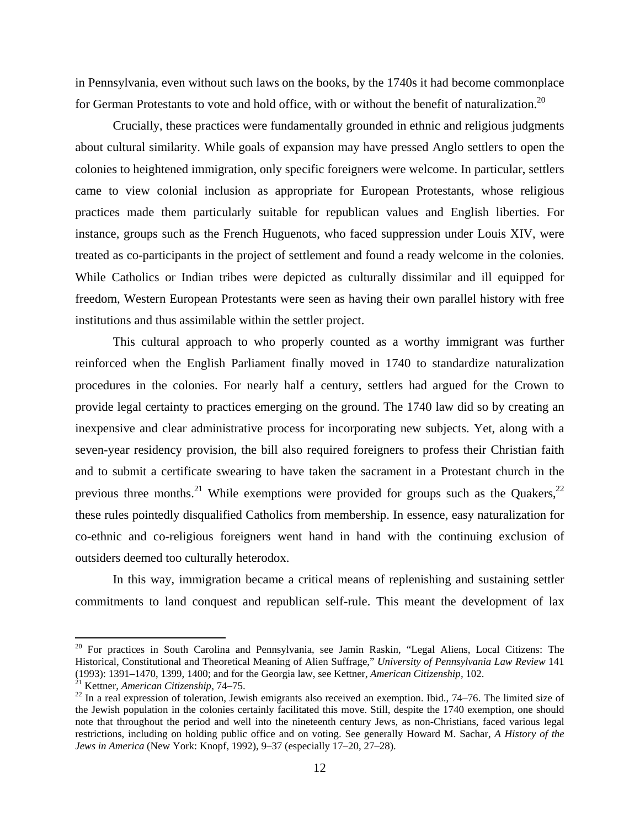in Pennsylvania, even without such laws on the books, by the 1740s it had become commonplace for German Protestants to vote and hold office, with or without the benefit of naturalization.<sup>20</sup>

Crucially, these practices were fundamentally grounded in ethnic and religious judgments about cultural similarity. While goals of expansion may have pressed Anglo settlers to open the colonies to heightened immigration, only specific foreigners were welcome. In particular, settlers came to view colonial inclusion as appropriate for European Protestants, whose religious practices made them particularly suitable for republican values and English liberties. For instance, groups such as the French Huguenots, who faced suppression under Louis XIV, were treated as co-participants in the project of settlement and found a ready welcome in the colonies. While Catholics or Indian tribes were depicted as culturally dissimilar and ill equipped for freedom, Western European Protestants were seen as having their own parallel history with free institutions and thus assimilable within the settler project.

This cultural approach to who properly counted as a worthy immigrant was further reinforced when the English Parliament finally moved in 1740 to standardize naturalization procedures in the colonies. For nearly half a century, settlers had argued for the Crown to provide legal certainty to practices emerging on the ground. The 1740 law did so by creating an inexpensive and clear administrative process for incorporating new subjects. Yet, along with a seven-year residency provision, the bill also required foreigners to profess their Christian faith and to submit a certificate swearing to have taken the sacrament in a Protestant church in the previous three months.<sup>21</sup> While exemptions were provided for groups such as the Quakers,<sup>22</sup> these rules pointedly disqualified Catholics from membership. In essence, easy naturalization for co-ethnic and co-religious foreigners went hand in hand with the continuing exclusion of outsiders deemed too culturally heterodox.

In this way, immigration became a critical means of replenishing and sustaining settler commitments to land conquest and republican self-rule. This meant the development of lax

<sup>&</sup>lt;sup>20</sup> For practices in South Carolina and Pennsylvania, see Jamin Raskin, "Legal Aliens, Local Citizens: The Historical, Constitutional and Theoretical Meaning of Alien Suffrage," *University of Pennsylvania Law Review* 141 (1993): 1391–1470, 1399, 1400; and for the Georgia law, see Kettner, *American Citizenship*, 102.<br><sup>21</sup> Kettner, *American Citizenship*, 74–75.<br><sup>22</sup> In a real expression of toleration, Jewish emigrants also received an exe

the Jewish population in the colonies certainly facilitated this move. Still, despite the 1740 exemption, one should note that throughout the period and well into the nineteenth century Jews, as non-Christians, faced various legal restrictions, including on holding public office and on voting. See generally Howard M. Sachar, *A History of the Jews in America* (New York: Knopf, 1992), 9–37 (especially 17–20, 27–28).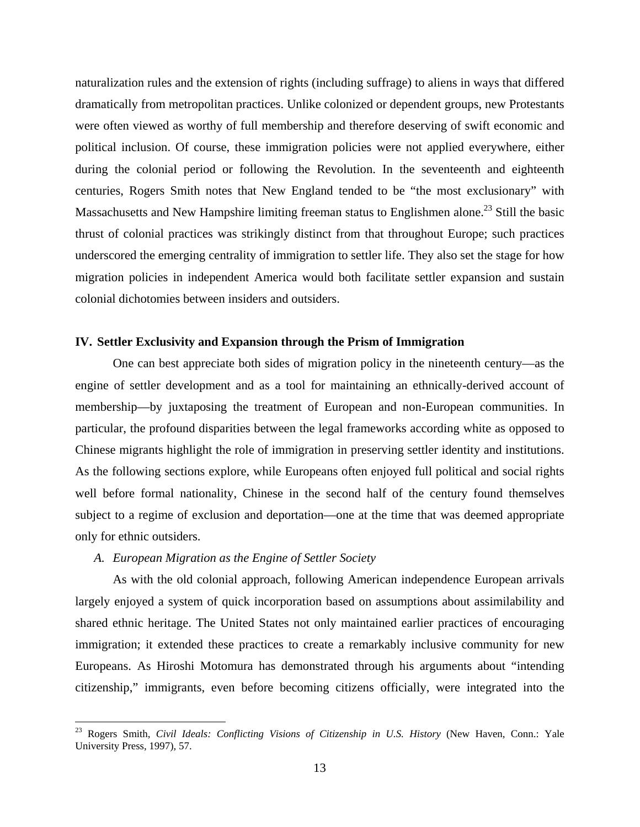naturalization rules and the extension of rights (including suffrage) to aliens in ways that differed dramatically from metropolitan practices. Unlike colonized or dependent groups, new Protestants were often viewed as worthy of full membership and therefore deserving of swift economic and political inclusion. Of course, these immigration policies were not applied everywhere, either during the colonial period or following the Revolution. In the seventeenth and eighteenth centuries, Rogers Smith notes that New England tended to be "the most exclusionary" with Massachusetts and New Hampshire limiting freeman status to Englishmen alone.<sup>23</sup> Still the basic thrust of colonial practices was strikingly distinct from that throughout Europe; such practices underscored the emerging centrality of immigration to settler life. They also set the stage for how migration policies in independent America would both facilitate settler expansion and sustain colonial dichotomies between insiders and outsiders.

# **IV. Settler Exclusivity and Expansion through the Prism of Immigration**

 One can best appreciate both sides of migration policy in the nineteenth century—as the engine of settler development and as a tool for maintaining an ethnically-derived account of membership—by juxtaposing the treatment of European and non-European communities. In particular, the profound disparities between the legal frameworks according white as opposed to Chinese migrants highlight the role of immigration in preserving settler identity and institutions. As the following sections explore, while Europeans often enjoyed full political and social rights well before formal nationality, Chinese in the second half of the century found themselves subject to a regime of exclusion and deportation—one at the time that was deemed appropriate only for ethnic outsiders.

# *A. European Migration as the Engine of Settler Society*

 $\overline{a}$ 

As with the old colonial approach, following American independence European arrivals largely enjoyed a system of quick incorporation based on assumptions about assimilability and shared ethnic heritage. The United States not only maintained earlier practices of encouraging immigration; it extended these practices to create a remarkably inclusive community for new Europeans. As Hiroshi Motomura has demonstrated through his arguments about "intending citizenship," immigrants, even before becoming citizens officially, were integrated into the

<sup>23</sup> Rogers Smith, *Civil Ideals: Conflicting Visions of Citizenship in U.S. History* (New Haven, Conn.: Yale University Press, 1997), 57.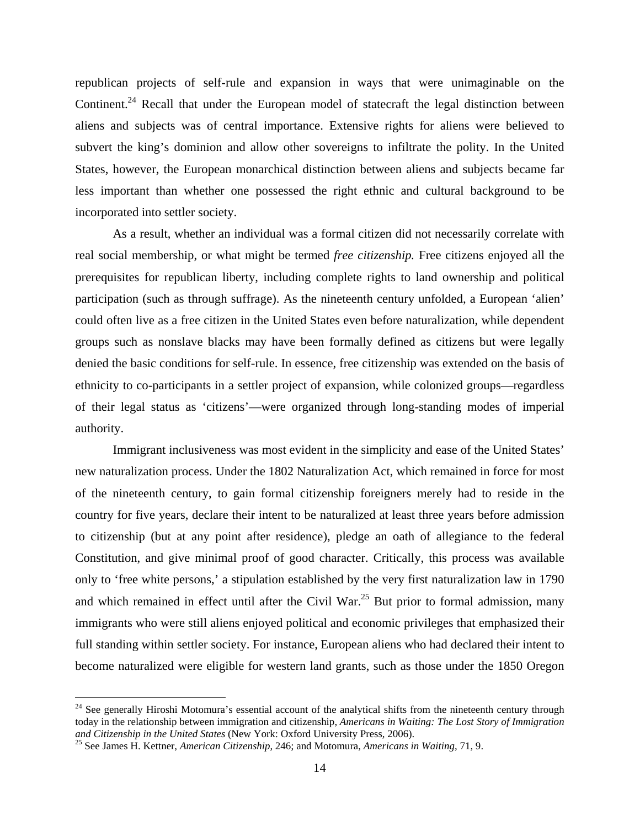republican projects of self-rule and expansion in ways that were unimaginable on the Continent.<sup>24</sup> Recall that under the European model of statecraft the legal distinction between aliens and subjects was of central importance. Extensive rights for aliens were believed to subvert the king's dominion and allow other sovereigns to infiltrate the polity. In the United States, however, the European monarchical distinction between aliens and subjects became far less important than whether one possessed the right ethnic and cultural background to be incorporated into settler society.

As a result, whether an individual was a formal citizen did not necessarily correlate with real social membership, or what might be termed *free citizenship.* Free citizens enjoyed all the prerequisites for republican liberty, including complete rights to land ownership and political participation (such as through suffrage). As the nineteenth century unfolded, a European 'alien' could often live as a free citizen in the United States even before naturalization, while dependent groups such as nonslave blacks may have been formally defined as citizens but were legally denied the basic conditions for self-rule. In essence, free citizenship was extended on the basis of ethnicity to co-participants in a settler project of expansion, while colonized groups—regardless of their legal status as 'citizens'—were organized through long-standing modes of imperial authority.

Immigrant inclusiveness was most evident in the simplicity and ease of the United States' new naturalization process. Under the 1802 Naturalization Act, which remained in force for most of the nineteenth century, to gain formal citizenship foreigners merely had to reside in the country for five years, declare their intent to be naturalized at least three years before admission to citizenship (but at any point after residence), pledge an oath of allegiance to the federal Constitution, and give minimal proof of good character. Critically, this process was available only to 'free white persons,' a stipulation established by the very first naturalization law in 1790 and which remained in effect until after the Civil War.<sup>25</sup> But prior to formal admission, many immigrants who were still aliens enjoyed political and economic privileges that emphasized their full standing within settler society. For instance, European aliens who had declared their intent to become naturalized were eligible for western land grants, such as those under the 1850 Oregon

 $24$  See generally Hiroshi Motomura's essential account of the analytical shifts from the nineteenth century through today in the relationship between immigration and citizenship, *Americans in Waiting: The Lost Story of Immigration and Citizenship in the United States* (New York: Oxford University Press, 2006). 25 See James H. Kettner, *American Citizenship*, 246; and Motomura, *Americans in Waiting*, 71, 9.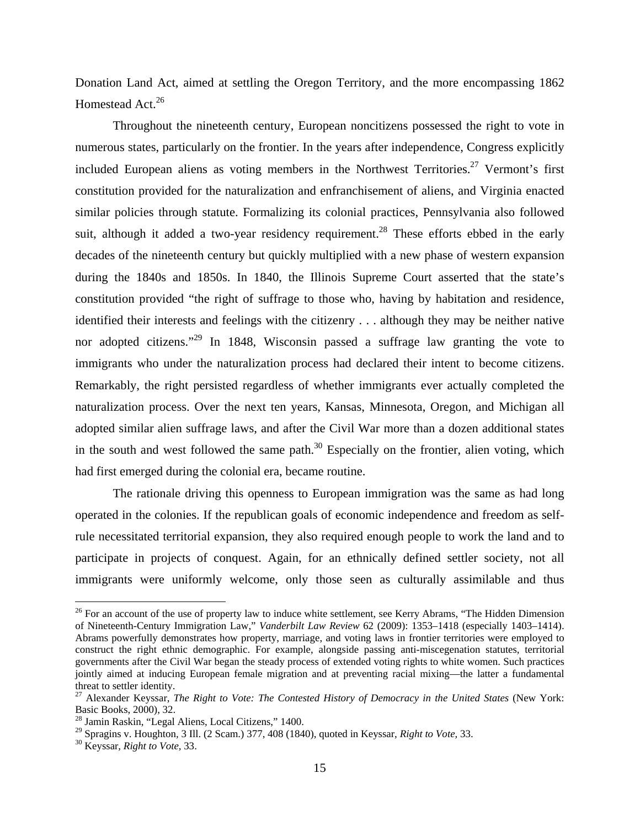Donation Land Act, aimed at settling the Oregon Territory, and the more encompassing 1862 Homestead Act.<sup>26</sup>

Throughout the nineteenth century, European noncitizens possessed the right to vote in numerous states, particularly on the frontier. In the years after independence, Congress explicitly included European aliens as voting members in the Northwest Territories.<sup>27</sup> Vermont's first constitution provided for the naturalization and enfranchisement of aliens, and Virginia enacted similar policies through statute. Formalizing its colonial practices, Pennsylvania also followed suit, although it added a two-year residency requirement.<sup>28</sup> These efforts ebbed in the early decades of the nineteenth century but quickly multiplied with a new phase of western expansion during the 1840s and 1850s. In 1840, the Illinois Supreme Court asserted that the state's constitution provided "the right of suffrage to those who, having by habitation and residence, identified their interests and feelings with the citizenry . . . although they may be neither native nor adopted citizens."<sup>29</sup> In 1848, Wisconsin passed a suffrage law granting the vote to immigrants who under the naturalization process had declared their intent to become citizens. Remarkably, the right persisted regardless of whether immigrants ever actually completed the naturalization process. Over the next ten years, Kansas, Minnesota, Oregon, and Michigan all adopted similar alien suffrage laws, and after the Civil War more than a dozen additional states in the south and west followed the same path. $30$  Especially on the frontier, alien voting, which had first emerged during the colonial era, became routine.

The rationale driving this openness to European immigration was the same as had long operated in the colonies. If the republican goals of economic independence and freedom as selfrule necessitated territorial expansion, they also required enough people to work the land and to participate in projects of conquest. Again, for an ethnically defined settler society, not all immigrants were uniformly welcome, only those seen as culturally assimilable and thus

 $^{26}$  For an account of the use of property law to induce white settlement, see Kerry Abrams, "The Hidden Dimension" of Nineteenth-Century Immigration Law," *Vanderbilt Law Review* 62 (2009): 1353–1418 (especially 1403–1414). Abrams powerfully demonstrates how property, marriage, and voting laws in frontier territories were employed to construct the right ethnic demographic. For example, alongside passing anti-miscegenation statutes, territorial governments after the Civil War began the steady process of extended voting rights to white women. Such practices jointly aimed at inducing European female migration and at preventing racial mixing—the latter a fundamental threat to settler identity.

<sup>27</sup> Alexander Keyssar, *The Right to Vote: The Contested History of Democracy in the United States* (New York: Basic Books, 2000), 32.

<sup>28</sup> Jamin Raskin, "Legal Aliens, Local Citizens," 1400.

<sup>&</sup>lt;sup>29</sup> Spragins v. Houghton, 3 Ill. (2 Scam.) 377, 408 (1840), quoted in Keyssar, *Right to Vote*, 33. <br><sup>30</sup> Keyssar, *Right to Vote*, 33.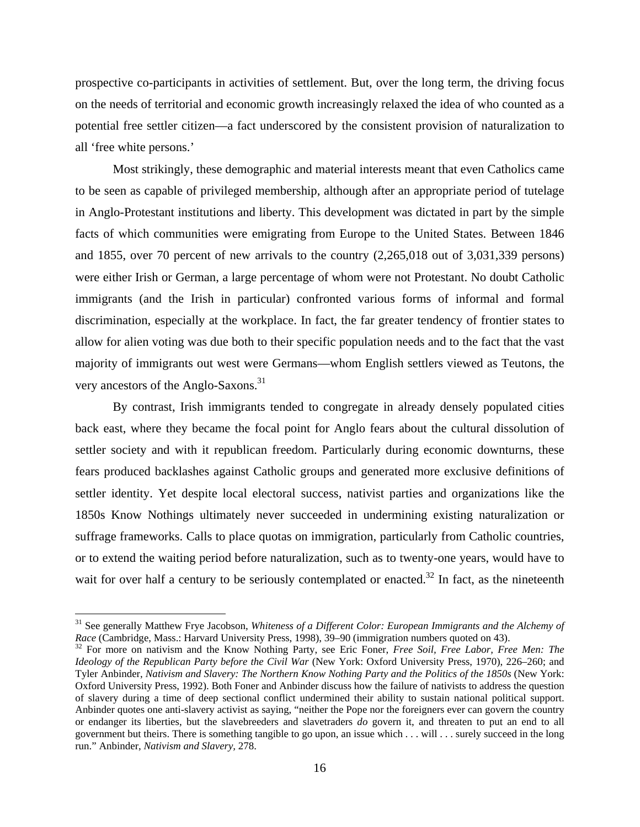prospective co-participants in activities of settlement. But, over the long term, the driving focus on the needs of territorial and economic growth increasingly relaxed the idea of who counted as a potential free settler citizen—a fact underscored by the consistent provision of naturalization to all 'free white persons.'

Most strikingly, these demographic and material interests meant that even Catholics came to be seen as capable of privileged membership, although after an appropriate period of tutelage in Anglo-Protestant institutions and liberty. This development was dictated in part by the simple facts of which communities were emigrating from Europe to the United States. Between 1846 and 1855, over 70 percent of new arrivals to the country (2,265,018 out of 3,031,339 persons) were either Irish or German, a large percentage of whom were not Protestant. No doubt Catholic immigrants (and the Irish in particular) confronted various forms of informal and formal discrimination, especially at the workplace. In fact, the far greater tendency of frontier states to allow for alien voting was due both to their specific population needs and to the fact that the vast majority of immigrants out west were Germans—whom English settlers viewed as Teutons, the very ancestors of the Anglo-Saxons.<sup>31</sup>

By contrast, Irish immigrants tended to congregate in already densely populated cities back east, where they became the focal point for Anglo fears about the cultural dissolution of settler society and with it republican freedom. Particularly during economic downturns, these fears produced backlashes against Catholic groups and generated more exclusive definitions of settler identity. Yet despite local electoral success, nativist parties and organizations like the 1850s Know Nothings ultimately never succeeded in undermining existing naturalization or suffrage frameworks. Calls to place quotas on immigration, particularly from Catholic countries, or to extend the waiting period before naturalization, such as to twenty-one years, would have to wait for over half a century to be seriously contemplated or enacted.<sup>32</sup> In fact, as the nineteenth

<sup>&</sup>lt;sup>31</sup> See generally Matthew Frye Jacobson, *Whiteness of a Different Color: European Immigrants and the Alchemy of Race* (Cambridge, Mass.: Harvard University Press, 1998), 39–90 (immigration numbers quoted on 43).

<sup>&</sup>lt;sup>32</sup> For more on nativism and the Know Nothing Party, see Eric Foner, *Free Soil, Free Labor, Free Men: The Ideology of the Republican Party before the Civil War* (New York: Oxford University Press, 1970), 226–260; and Tyler Anbinder, *Nativism and Slavery: The Northern Know Nothing Party and the Politics of the 1850s* (New York: Oxford University Press, 1992). Both Foner and Anbinder discuss how the failure of nativists to address the question of slavery during a time of deep sectional conflict undermined their ability to sustain national political support. Anbinder quotes one anti-slavery activist as saying, "neither the Pope nor the foreigners ever can govern the country or endanger its liberties, but the slavebreeders and slavetraders *do* govern it, and threaten to put an end to all government but theirs. There is something tangible to go upon, an issue which . . . will . . . surely succeed in the long run." Anbinder, *Nativism and Slavery,* 278.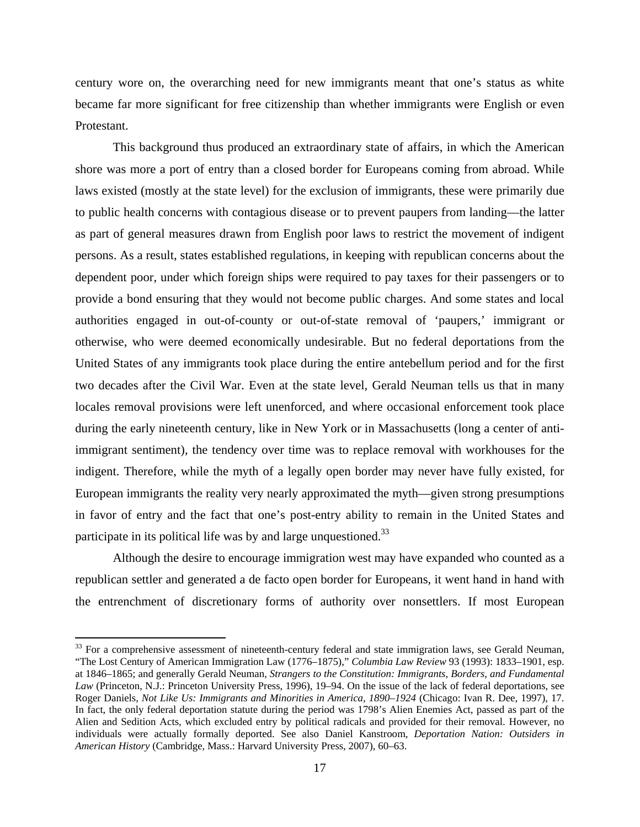century wore on, the overarching need for new immigrants meant that one's status as white became far more significant for free citizenship than whether immigrants were English or even Protestant.

This background thus produced an extraordinary state of affairs, in which the American shore was more a port of entry than a closed border for Europeans coming from abroad. While laws existed (mostly at the state level) for the exclusion of immigrants, these were primarily due to public health concerns with contagious disease or to prevent paupers from landing—the latter as part of general measures drawn from English poor laws to restrict the movement of indigent persons. As a result, states established regulations, in keeping with republican concerns about the dependent poor, under which foreign ships were required to pay taxes for their passengers or to provide a bond ensuring that they would not become public charges. And some states and local authorities engaged in out-of-county or out-of-state removal of 'paupers,' immigrant or otherwise, who were deemed economically undesirable. But no federal deportations from the United States of any immigrants took place during the entire antebellum period and for the first two decades after the Civil War. Even at the state level, Gerald Neuman tells us that in many locales removal provisions were left unenforced, and where occasional enforcement took place during the early nineteenth century, like in New York or in Massachusetts (long a center of antiimmigrant sentiment), the tendency over time was to replace removal with workhouses for the indigent. Therefore, while the myth of a legally open border may never have fully existed, for European immigrants the reality very nearly approximated the myth—given strong presumptions in favor of entry and the fact that one's post-entry ability to remain in the United States and participate in its political life was by and large unquestioned.<sup>33</sup>

Although the desire to encourage immigration west may have expanded who counted as a republican settler and generated a de facto open border for Europeans, it went hand in hand with the entrenchment of discretionary forms of authority over nonsettlers. If most European

<sup>&</sup>lt;sup>33</sup> For a comprehensive assessment of nineteenth-century federal and state immigration laws, see Gerald Neuman, "The Lost Century of American Immigration Law (1776–1875)," *Columbia Law Review* 93 (1993): 1833–1901, esp. at 1846–1865; and generally Gerald Neuman, *Strangers to the Constitution: Immigrants, Borders, and Fundamental Law* (Princeton, N.J.: Princeton University Press, 1996), 19–94. On the issue of the lack of federal deportations, see Roger Daniels, *Not Like Us: Immigrants and Minorities in America, 1890–1924* (Chicago: Ivan R. Dee, 1997), 17. In fact, the only federal deportation statute during the period was 1798's Alien Enemies Act, passed as part of the Alien and Sedition Acts, which excluded entry by political radicals and provided for their removal. However, no individuals were actually formally deported. See also Daniel Kanstroom, *Deportation Nation: Outsiders in American History* (Cambridge, Mass.: Harvard University Press, 2007), 60–63.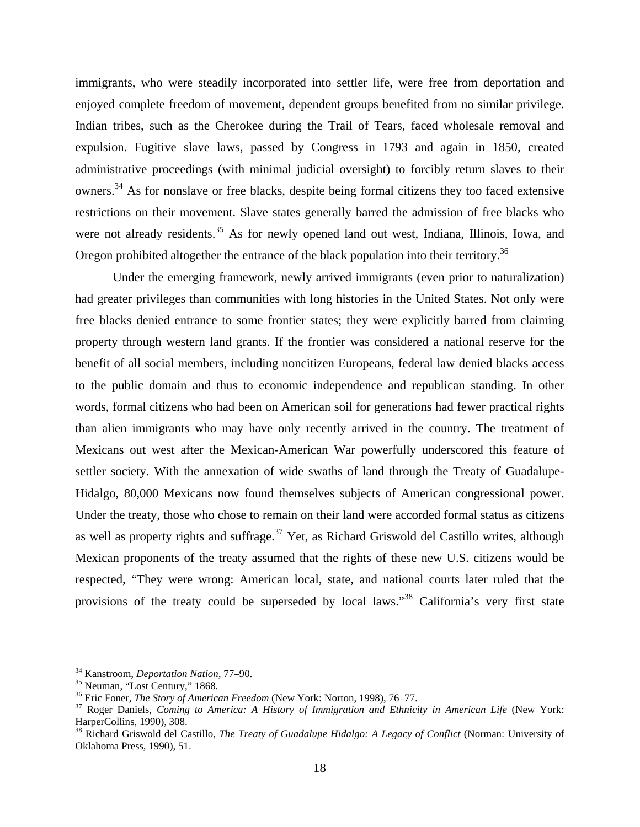immigrants, who were steadily incorporated into settler life, were free from deportation and enjoyed complete freedom of movement, dependent groups benefited from no similar privilege. Indian tribes, such as the Cherokee during the Trail of Tears, faced wholesale removal and expulsion. Fugitive slave laws, passed by Congress in 1793 and again in 1850, created administrative proceedings (with minimal judicial oversight) to forcibly return slaves to their owners.34 As for nonslave or free blacks, despite being formal citizens they too faced extensive restrictions on their movement. Slave states generally barred the admission of free blacks who were not already residents.<sup>35</sup> As for newly opened land out west, Indiana, Illinois, Iowa, and Oregon prohibited altogether the entrance of the black population into their territory.<sup>36</sup>

Under the emerging framework, newly arrived immigrants (even prior to naturalization) had greater privileges than communities with long histories in the United States. Not only were free blacks denied entrance to some frontier states; they were explicitly barred from claiming property through western land grants. If the frontier was considered a national reserve for the benefit of all social members, including noncitizen Europeans, federal law denied blacks access to the public domain and thus to economic independence and republican standing. In other words, formal citizens who had been on American soil for generations had fewer practical rights than alien immigrants who may have only recently arrived in the country. The treatment of Mexicans out west after the Mexican-American War powerfully underscored this feature of settler society. With the annexation of wide swaths of land through the Treaty of Guadalupe-Hidalgo, 80,000 Mexicans now found themselves subjects of American congressional power. Under the treaty, those who chose to remain on their land were accorded formal status as citizens as well as property rights and suffrage.<sup>37</sup> Yet, as Richard Griswold del Castillo writes, although Mexican proponents of the treaty assumed that the rights of these new U.S. citizens would be respected, "They were wrong: American local, state, and national courts later ruled that the provisions of the treaty could be superseded by local laws."<sup>38</sup> California's very first state

<sup>&</sup>lt;sup>34</sup> Kanstroom, *Deportation Nation*, 77–90.<br><sup>35</sup> Neuman, "Lost Century," 1868.<br><sup>36</sup> Eric Foner, *The Story of American Freedom* (New York: Norton, 1998), 76–77.

<sup>&</sup>lt;sup>37</sup> Roger Daniels, *Coming to America: A History of Immigration and Ethnicity in American Life* (New York: HarperCollins, 1990), 308.

<sup>38</sup> Richard Griswold del Castillo, *The Treaty of Guadalupe Hidalgo: A Legacy of Conflict* (Norman: University of Oklahoma Press, 1990), 51.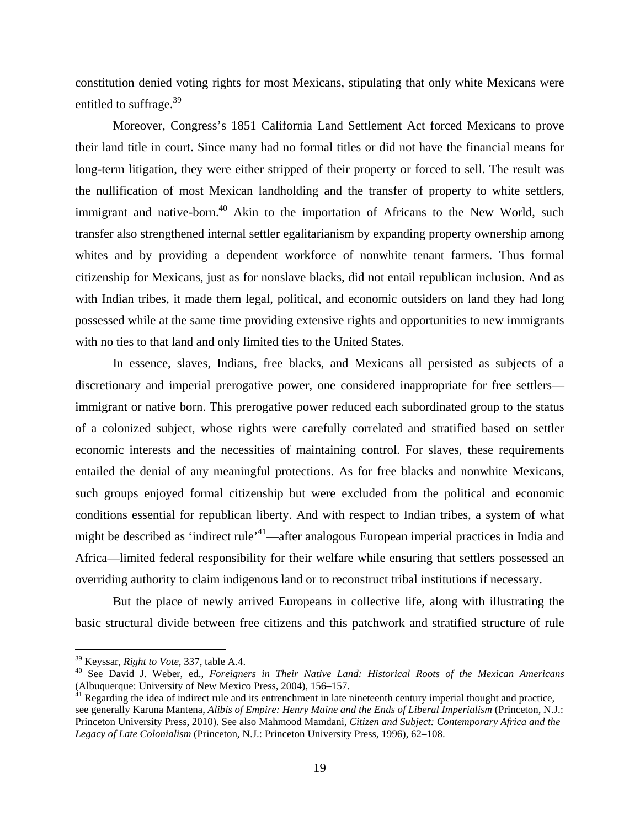constitution denied voting rights for most Mexicans, stipulating that only white Mexicans were entitled to suffrage.<sup>39</sup>

Moreover, Congress's 1851 California Land Settlement Act forced Mexicans to prove their land title in court. Since many had no formal titles or did not have the financial means for long-term litigation, they were either stripped of their property or forced to sell. The result was the nullification of most Mexican landholding and the transfer of property to white settlers, immigrant and native-born.<sup>40</sup> Akin to the importation of Africans to the New World, such transfer also strengthened internal settler egalitarianism by expanding property ownership among whites and by providing a dependent workforce of nonwhite tenant farmers. Thus formal citizenship for Mexicans, just as for nonslave blacks, did not entail republican inclusion. And as with Indian tribes, it made them legal, political, and economic outsiders on land they had long possessed while at the same time providing extensive rights and opportunities to new immigrants with no ties to that land and only limited ties to the United States.

In essence, slaves, Indians, free blacks, and Mexicans all persisted as subjects of a discretionary and imperial prerogative power, one considered inappropriate for free settlers immigrant or native born. This prerogative power reduced each subordinated group to the status of a colonized subject, whose rights were carefully correlated and stratified based on settler economic interests and the necessities of maintaining control. For slaves, these requirements entailed the denial of any meaningful protections. As for free blacks and nonwhite Mexicans, such groups enjoyed formal citizenship but were excluded from the political and economic conditions essential for republican liberty. And with respect to Indian tribes, a system of what might be described as 'indirect rule'<sup>41</sup>—after analogous European imperial practices in India and Africa—limited federal responsibility for their welfare while ensuring that settlers possessed an overriding authority to claim indigenous land or to reconstruct tribal institutions if necessary.

But the place of newly arrived Europeans in collective life, along with illustrating the basic structural divide between free citizens and this patchwork and stratified structure of rule

<sup>&</sup>lt;sup>39</sup> Keyssar, *Right to Vote*, 337, table A.4.<br><sup>40</sup> See David J. Weber, ed., *Foreigners in Their Native Land: Historical Roots of the Mexican Americans* (Albuquerque: University of New Mexico Press, 2004), 156–157.

 $41$  Regarding the idea of indirect rule and its entrenchment in late nineteenth century imperial thought and practice, see generally Karuna Mantena, *Alibis of Empire: Henry Maine and the Ends of Liberal Imperialism* (Princeton, N.J.: Princeton University Press, 2010). See also Mahmood Mamdani, *Citizen and Subject: Contemporary Africa and the Legacy of Late Colonialism* (Princeton, N.J.: Princeton University Press, 1996), 62–108.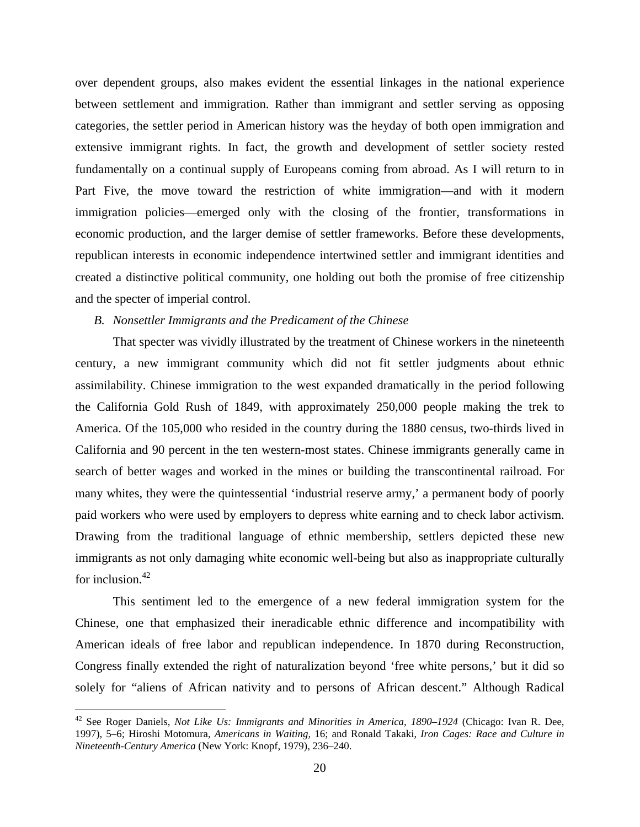over dependent groups, also makes evident the essential linkages in the national experience between settlement and immigration. Rather than immigrant and settler serving as opposing categories, the settler period in American history was the heyday of both open immigration and extensive immigrant rights. In fact, the growth and development of settler society rested fundamentally on a continual supply of Europeans coming from abroad. As I will return to in Part Five, the move toward the restriction of white immigration—and with it modern immigration policies—emerged only with the closing of the frontier, transformations in economic production, and the larger demise of settler frameworks. Before these developments, republican interests in economic independence intertwined settler and immigrant identities and created a distinctive political community, one holding out both the promise of free citizenship and the specter of imperial control.

#### *B. Nonsettler Immigrants and the Predicament of the Chinese*

That specter was vividly illustrated by the treatment of Chinese workers in the nineteenth century, a new immigrant community which did not fit settler judgments about ethnic assimilability. Chinese immigration to the west expanded dramatically in the period following the California Gold Rush of 1849, with approximately 250,000 people making the trek to America. Of the 105,000 who resided in the country during the 1880 census, two-thirds lived in California and 90 percent in the ten western-most states. Chinese immigrants generally came in search of better wages and worked in the mines or building the transcontinental railroad. For many whites, they were the quintessential 'industrial reserve army,' a permanent body of poorly paid workers who were used by employers to depress white earning and to check labor activism. Drawing from the traditional language of ethnic membership, settlers depicted these new immigrants as not only damaging white economic well-being but also as inappropriate culturally for inclusion. $42$ 

 This sentiment led to the emergence of a new federal immigration system for the Chinese, one that emphasized their ineradicable ethnic difference and incompatibility with American ideals of free labor and republican independence. In 1870 during Reconstruction, Congress finally extended the right of naturalization beyond 'free white persons,' but it did so solely for "aliens of African nativity and to persons of African descent." Although Radical

<sup>42</sup> See Roger Daniels, *Not Like Us: Immigrants and Minorities in America, 1890–1924* (Chicago: Ivan R. Dee, 1997), 5–6; Hiroshi Motomura, *Americans in Waiting,* 16; and Ronald Takaki, *Iron Cages: Race and Culture in Nineteenth-Century America* (New York: Knopf, 1979), 236–240.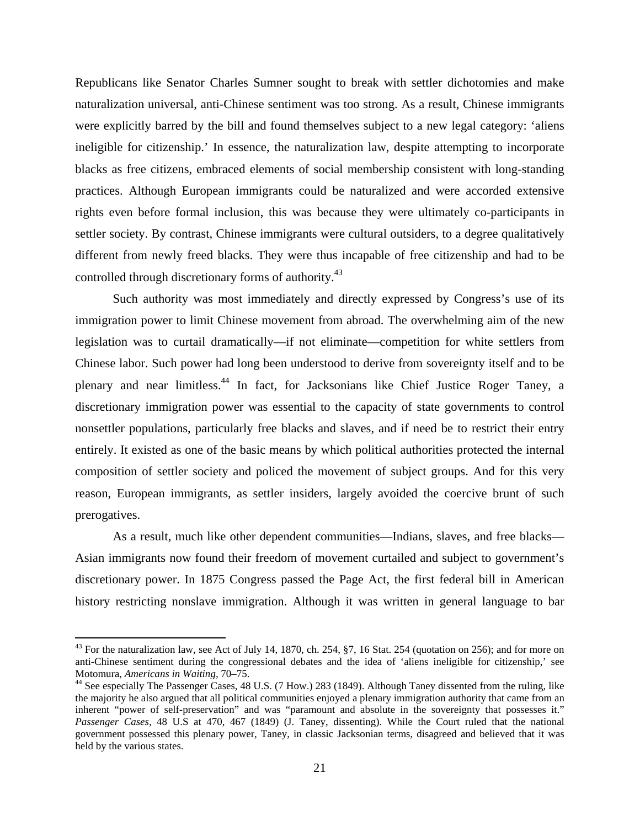Republicans like Senator Charles Sumner sought to break with settler dichotomies and make naturalization universal, anti-Chinese sentiment was too strong. As a result, Chinese immigrants were explicitly barred by the bill and found themselves subject to a new legal category: 'aliens ineligible for citizenship.' In essence, the naturalization law, despite attempting to incorporate blacks as free citizens, embraced elements of social membership consistent with long-standing practices. Although European immigrants could be naturalized and were accorded extensive rights even before formal inclusion, this was because they were ultimately co-participants in settler society. By contrast, Chinese immigrants were cultural outsiders, to a degree qualitatively different from newly freed blacks. They were thus incapable of free citizenship and had to be controlled through discretionary forms of authority.<sup>43</sup>

 Such authority was most immediately and directly expressed by Congress's use of its immigration power to limit Chinese movement from abroad. The overwhelming aim of the new legislation was to curtail dramatically—if not eliminate—competition for white settlers from Chinese labor. Such power had long been understood to derive from sovereignty itself and to be plenary and near limitless.44 In fact, for Jacksonians like Chief Justice Roger Taney, a discretionary immigration power was essential to the capacity of state governments to control nonsettler populations, particularly free blacks and slaves, and if need be to restrict their entry entirely. It existed as one of the basic means by which political authorities protected the internal composition of settler society and policed the movement of subject groups. And for this very reason, European immigrants, as settler insiders, largely avoided the coercive brunt of such prerogatives.

 As a result, much like other dependent communities—Indians, slaves, and free blacks— Asian immigrants now found their freedom of movement curtailed and subject to government's discretionary power. In 1875 Congress passed the Page Act, the first federal bill in American history restricting nonslave immigration. Although it was written in general language to bar

 $43$  For the naturalization law, see Act of July 14, 1870, ch. 254, §7, 16 Stat. 254 (quotation on 256); and for more on anti-Chinese sentiment during the congressional debates and the idea of 'aliens ineligible for citizenship,' see<br>Motomura, Americans in Waiting, 70–75.

<sup>&</sup>lt;sup>44</sup> See especially The Passenger Cases, 48 U.S. (7 How.) 283 (1849). Although Taney dissented from the ruling, like the majority he also argued that all political communities enjoyed a plenary immigration authority that came from an inherent "power of self-preservation" and was "paramount and absolute in the sovereignty that possesses it." *Passenger Cases,* 48 U.S at 470, 467 (1849) (J. Taney, dissenting). While the Court ruled that the national government possessed this plenary power, Taney, in classic Jacksonian terms, disagreed and believed that it was held by the various states.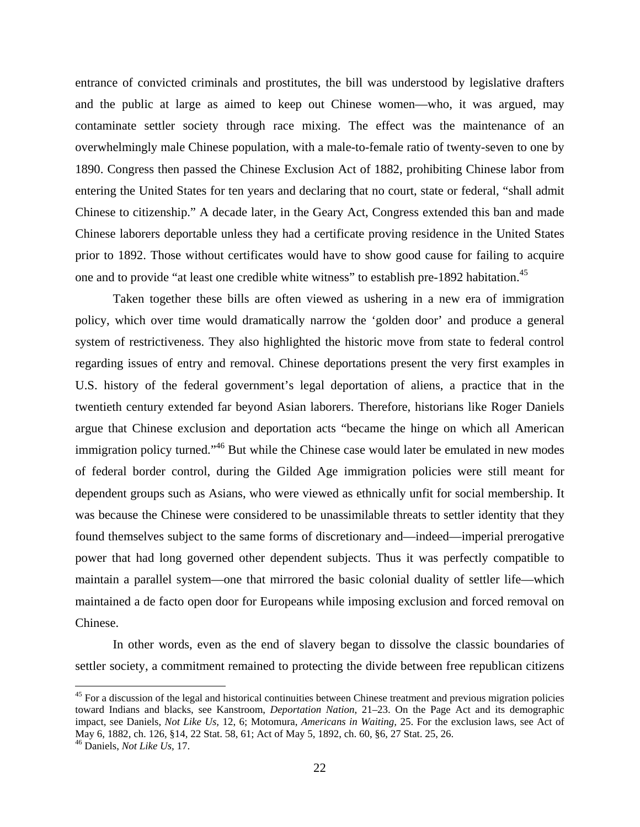entrance of convicted criminals and prostitutes, the bill was understood by legislative drafters and the public at large as aimed to keep out Chinese women—who, it was argued, may contaminate settler society through race mixing. The effect was the maintenance of an overwhelmingly male Chinese population, with a male-to-female ratio of twenty-seven to one by 1890. Congress then passed the Chinese Exclusion Act of 1882, prohibiting Chinese labor from entering the United States for ten years and declaring that no court, state or federal, "shall admit Chinese to citizenship." A decade later, in the Geary Act, Congress extended this ban and made Chinese laborers deportable unless they had a certificate proving residence in the United States prior to 1892. Those without certificates would have to show good cause for failing to acquire one and to provide "at least one credible white witness" to establish pre-1892 habitation.<sup>45</sup>

 Taken together these bills are often viewed as ushering in a new era of immigration policy, which over time would dramatically narrow the 'golden door' and produce a general system of restrictiveness. They also highlighted the historic move from state to federal control regarding issues of entry and removal. Chinese deportations present the very first examples in U.S. history of the federal government's legal deportation of aliens, a practice that in the twentieth century extended far beyond Asian laborers. Therefore, historians like Roger Daniels argue that Chinese exclusion and deportation acts "became the hinge on which all American immigration policy turned."<sup>46</sup> But while the Chinese case would later be emulated in new modes of federal border control, during the Gilded Age immigration policies were still meant for dependent groups such as Asians, who were viewed as ethnically unfit for social membership. It was because the Chinese were considered to be unassimilable threats to settler identity that they found themselves subject to the same forms of discretionary and—indeed—imperial prerogative power that had long governed other dependent subjects. Thus it was perfectly compatible to maintain a parallel system—one that mirrored the basic colonial duality of settler life—which maintained a de facto open door for Europeans while imposing exclusion and forced removal on Chinese.

 In other words, even as the end of slavery began to dissolve the classic boundaries of settler society, a commitment remained to protecting the divide between free republican citizens

<sup>&</sup>lt;sup>45</sup> For a discussion of the legal and historical continuities between Chinese treatment and previous migration policies toward Indians and blacks, see Kanstroom, *Deportation Nation*, 21–23. On the Page Act and its demographic impact, see Daniels, *Not Like Us,* 12, 6; Motomura, *Americans in Waiting,* 25. For the exclusion laws, see Act of May 6, 1882, ch. 126, §14, 22 Stat. 58, 61; Act of May 5, 1892, ch. 60, §6, 27 Stat. 25, 26.

<sup>46</sup> Daniels, *Not Like Us,* 17.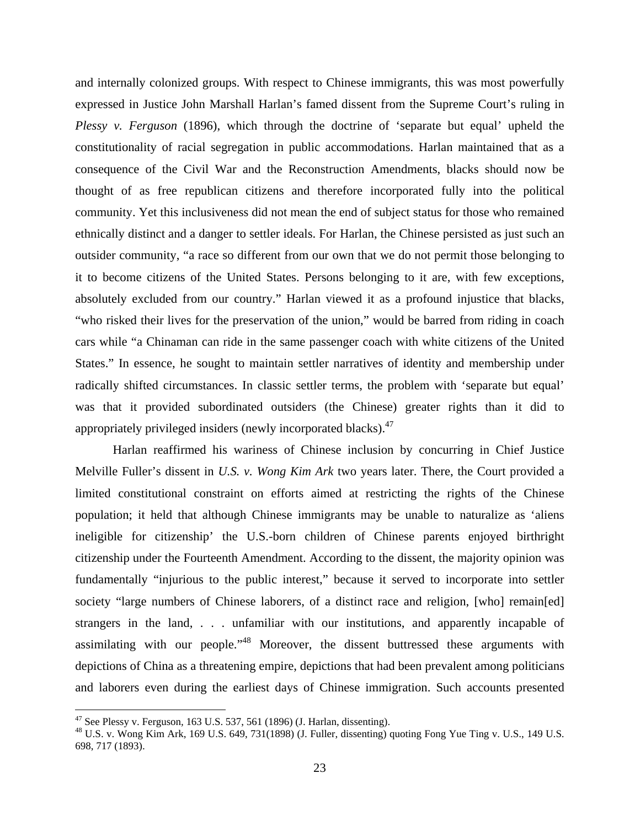and internally colonized groups. With respect to Chinese immigrants, this was most powerfully expressed in Justice John Marshall Harlan's famed dissent from the Supreme Court's ruling in *Plessy v. Ferguson* (1896), which through the doctrine of 'separate but equal' upheld the constitutionality of racial segregation in public accommodations. Harlan maintained that as a consequence of the Civil War and the Reconstruction Amendments, blacks should now be thought of as free republican citizens and therefore incorporated fully into the political community. Yet this inclusiveness did not mean the end of subject status for those who remained ethnically distinct and a danger to settler ideals. For Harlan, the Chinese persisted as just such an outsider community, "a race so different from our own that we do not permit those belonging to it to become citizens of the United States. Persons belonging to it are, with few exceptions, absolutely excluded from our country." Harlan viewed it as a profound injustice that blacks, "who risked their lives for the preservation of the union," would be barred from riding in coach cars while "a Chinaman can ride in the same passenger coach with white citizens of the United States." In essence, he sought to maintain settler narratives of identity and membership under radically shifted circumstances. In classic settler terms, the problem with 'separate but equal' was that it provided subordinated outsiders (the Chinese) greater rights than it did to appropriately privileged insiders (newly incorporated blacks).47

 Harlan reaffirmed his wariness of Chinese inclusion by concurring in Chief Justice Melville Fuller's dissent in *U.S. v. Wong Kim Ark* two years later. There, the Court provided a limited constitutional constraint on efforts aimed at restricting the rights of the Chinese population; it held that although Chinese immigrants may be unable to naturalize as 'aliens ineligible for citizenship' the U.S.-born children of Chinese parents enjoyed birthright citizenship under the Fourteenth Amendment. According to the dissent, the majority opinion was fundamentally "injurious to the public interest," because it served to incorporate into settler society "large numbers of Chinese laborers, of a distinct race and religion, [who] remain[ed] strangers in the land, . . . unfamiliar with our institutions, and apparently incapable of assimilating with our people."<sup>48</sup> Moreover, the dissent buttressed these arguments with depictions of China as a threatening empire, depictions that had been prevalent among politicians and laborers even during the earliest days of Chinese immigration. Such accounts presented

<sup>&</sup>lt;sup>47</sup> See Plessy v. Ferguson, 163 U.S. 537, 561 (1896) (J. Harlan, dissenting).<br><sup>48</sup> U.S. v. Wong Kim Ark, 169 U.S. 649, 731(1898) (J. Fuller, dissenting) quoting Fong Yue Ting v. U.S., 149 U.S. 698, 717 (1893).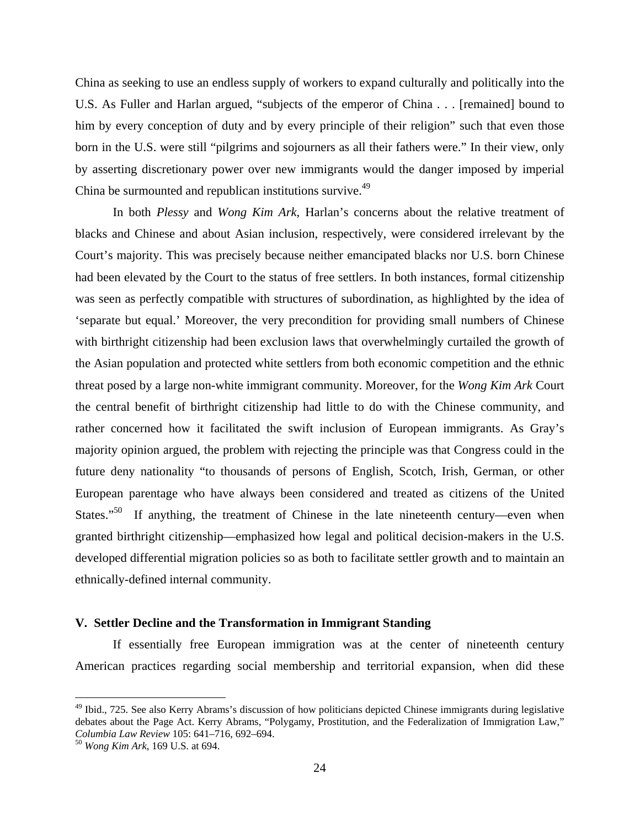China as seeking to use an endless supply of workers to expand culturally and politically into the U.S. As Fuller and Harlan argued, "subjects of the emperor of China . . . [remained] bound to him by every conception of duty and by every principle of their religion" such that even those born in the U.S. were still "pilgrims and sojourners as all their fathers were." In their view, only by asserting discretionary power over new immigrants would the danger imposed by imperial China be surmounted and republican institutions survive.<sup>49</sup>

In both *Plessy* and *Wong Kim Ark*, Harlan's concerns about the relative treatment of blacks and Chinese and about Asian inclusion, respectively, were considered irrelevant by the Court's majority. This was precisely because neither emancipated blacks nor U.S. born Chinese had been elevated by the Court to the status of free settlers. In both instances, formal citizenship was seen as perfectly compatible with structures of subordination, as highlighted by the idea of 'separate but equal.' Moreover, the very precondition for providing small numbers of Chinese with birthright citizenship had been exclusion laws that overwhelmingly curtailed the growth of the Asian population and protected white settlers from both economic competition and the ethnic threat posed by a large non-white immigrant community. Moreover, for the *Wong Kim Ark* Court the central benefit of birthright citizenship had little to do with the Chinese community, and rather concerned how it facilitated the swift inclusion of European immigrants. As Gray's majority opinion argued, the problem with rejecting the principle was that Congress could in the future deny nationality "to thousands of persons of English, Scotch, Irish, German, or other European parentage who have always been considered and treated as citizens of the United States."<sup>50</sup> If anything, the treatment of Chinese in the late nineteenth century—even when granted birthright citizenship—emphasized how legal and political decision-makers in the U.S. developed differential migration policies so as both to facilitate settler growth and to maintain an ethnically-defined internal community.

#### **V. Settler Decline and the Transformation in Immigrant Standing**

If essentially free European immigration was at the center of nineteenth century American practices regarding social membership and territorial expansion, when did these

 $49$  Ibid., 725. See also Kerry Abrams's discussion of how politicians depicted Chinese immigrants during legislative debates about the Page Act. Kerry Abrams, "Polygamy, Prostitution, and the Federalization of Immigration Law," *Columbia Law Review* 105: 641–716, 692–694. 50 *Wong Kim Ark*, 169 U.S. at 694.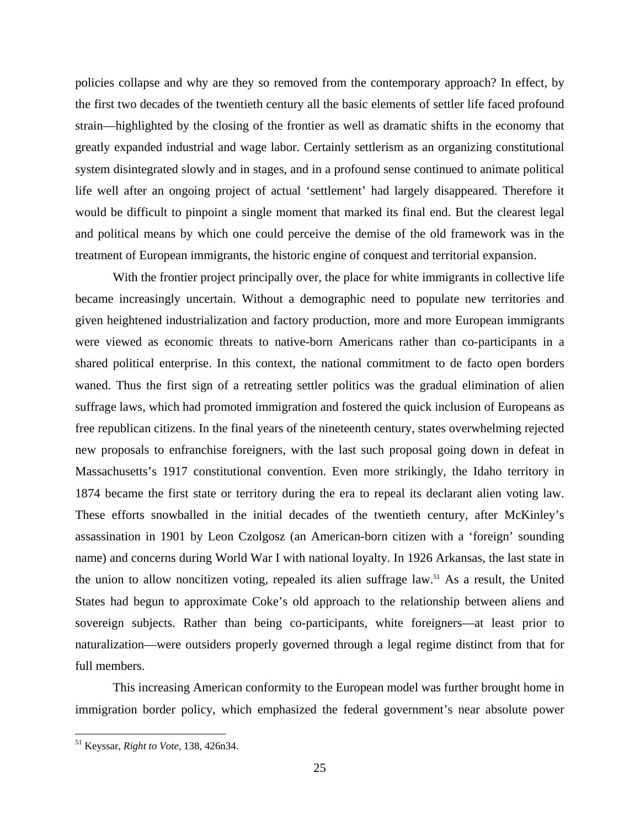policies collapse and why are they so removed from the contemporary approach? In effect, by the first two decades of the twentieth century all the basic elements of settler life faced profound strain—highlighted by the closing of the frontier as well as dramatic shifts in the economy that greatly expanded industrial and wage labor. Certainly settlerism as an organizing constitutional system disintegrated slowly and in stages, and in a profound sense continued to animate political life well after an ongoing project of actual 'settlement' had largely disappeared. Therefore it would be difficult to pinpoint a single moment that marked its final end. But the clearest legal and political means by which one could perceive the demise of the old framework was in the treatment of European immigrants, the historic engine of conquest and territorial expansion.

With the frontier project principally over, the place for white immigrants in collective life became increasingly uncertain. Without a demographic need to populate new territories and given heightened industrialization and factory production, more and more European immigrants were viewed as economic threats to native-born Americans rather than co-participants in a shared political enterprise. In this context, the national commitment to de facto open borders waned. Thus the first sign of a retreating settler politics was the gradual elimination of alien suffrage laws, which had promoted immigration and fostered the quick inclusion of Europeans as free republican citizens. In the final years of the nineteenth century, states overwhelming rejected new proposals to enfranchise foreigners, with the last such proposal going down in defeat in Massachusetts's 1917 constitutional convention. Even more strikingly, the Idaho territory in 1874 became the first state or territory during the era to repeal its declarant alien voting law. These efforts snowballed in the initial decades of the twentieth century, after McKinley's assassination in 1901 by Leon Czolgosz (an American-born citizen with a 'foreign' sounding name) and concerns during World War I with national loyalty. In 1926 Arkansas, the last state in the union to allow noncitizen voting, repealed its alien suffrage law.<sup>51</sup> As a result, the United States had begun to approximate Coke's old approach to the relationship between aliens and sovereign subjects. Rather than being co-participants, white foreigners—at least prior to naturalization—were outsiders properly governed through a legal regime distinct from that for full members.

 This increasing American conformity to the European model was further brought home in immigration border policy, which emphasized the federal government's near absolute power

<sup>51</sup> Keyssar, *Right to Vote*, 138, 426n34.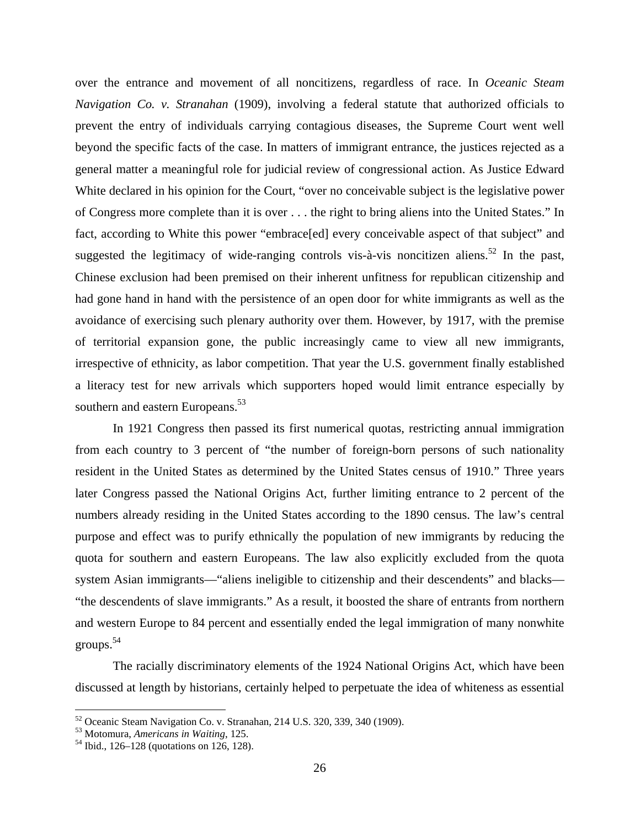over the entrance and movement of all noncitizens, regardless of race. In *Oceanic Steam Navigation Co. v. Stranahan* (1909), involving a federal statute that authorized officials to prevent the entry of individuals carrying contagious diseases, the Supreme Court went well beyond the specific facts of the case. In matters of immigrant entrance, the justices rejected as a general matter a meaningful role for judicial review of congressional action. As Justice Edward White declared in his opinion for the Court, "over no conceivable subject is the legislative power of Congress more complete than it is over . . . the right to bring aliens into the United States." In fact, according to White this power "embrace[ed] every conceivable aspect of that subject" and suggested the legitimacy of wide-ranging controls vis-à-vis noncitizen aliens.<sup>52</sup> In the past, Chinese exclusion had been premised on their inherent unfitness for republican citizenship and had gone hand in hand with the persistence of an open door for white immigrants as well as the avoidance of exercising such plenary authority over them. However, by 1917, with the premise of territorial expansion gone, the public increasingly came to view all new immigrants, irrespective of ethnicity, as labor competition. That year the U.S. government finally established a literacy test for new arrivals which supporters hoped would limit entrance especially by southern and eastern Europeans.<sup>53</sup>

 In 1921 Congress then passed its first numerical quotas, restricting annual immigration from each country to 3 percent of "the number of foreign-born persons of such nationality resident in the United States as determined by the United States census of 1910." Three years later Congress passed the National Origins Act, further limiting entrance to 2 percent of the numbers already residing in the United States according to the 1890 census. The law's central purpose and effect was to purify ethnically the population of new immigrants by reducing the quota for southern and eastern Europeans. The law also explicitly excluded from the quota system Asian immigrants—"aliens ineligible to citizenship and their descendents" and blacks— "the descendents of slave immigrants." As a result, it boosted the share of entrants from northern and western Europe to 84 percent and essentially ended the legal immigration of many nonwhite groups.54

 The racially discriminatory elements of the 1924 National Origins Act, which have been discussed at length by historians, certainly helped to perpetuate the idea of whiteness as essential

<sup>52</sup> Oceanic Steam Navigation Co. v. Stranahan*,* 214 U.S. 320, 339, 340 (1909). 53 Motomura, *Americans in Waiting*, 125. 54 Ibid., 126–128 (quotations on 126, 128).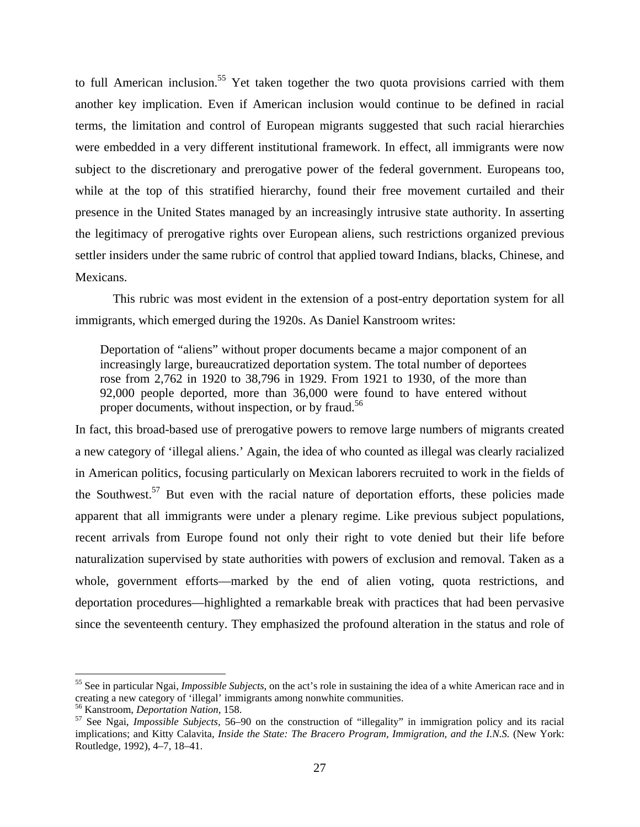to full American inclusion.<sup>55</sup> Yet taken together the two quota provisions carried with them another key implication. Even if American inclusion would continue to be defined in racial terms, the limitation and control of European migrants suggested that such racial hierarchies were embedded in a very different institutional framework. In effect, all immigrants were now subject to the discretionary and prerogative power of the federal government. Europeans too, while at the top of this stratified hierarchy, found their free movement curtailed and their presence in the United States managed by an increasingly intrusive state authority. In asserting the legitimacy of prerogative rights over European aliens, such restrictions organized previous settler insiders under the same rubric of control that applied toward Indians, blacks, Chinese, and Mexicans.

 This rubric was most evident in the extension of a post-entry deportation system for all immigrants, which emerged during the 1920s. As Daniel Kanstroom writes:

Deportation of "aliens" without proper documents became a major component of an increasingly large, bureaucratized deportation system. The total number of deportees rose from 2,762 in 1920 to 38,796 in 1929. From 1921 to 1930, of the more than 92,000 people deported, more than 36,000 were found to have entered without proper documents, without inspection, or by fraud.<sup>56</sup>

In fact, this broad-based use of prerogative powers to remove large numbers of migrants created a new category of 'illegal aliens.' Again, the idea of who counted as illegal was clearly racialized in American politics, focusing particularly on Mexican laborers recruited to work in the fields of the Southwest.<sup>57</sup> But even with the racial nature of deportation efforts, these policies made apparent that all immigrants were under a plenary regime. Like previous subject populations, recent arrivals from Europe found not only their right to vote denied but their life before naturalization supervised by state authorities with powers of exclusion and removal. Taken as a whole, government efforts—marked by the end of alien voting, quota restrictions, and deportation procedures—highlighted a remarkable break with practices that had been pervasive since the seventeenth century. They emphasized the profound alteration in the status and role of

<sup>&</sup>lt;sup>55</sup> See in particular Ngai, *Impossible Subjects*, on the act's role in sustaining the idea of a white American race and in creating a new category of 'illegal' immigrants among nonwhite communities.

<sup>&</sup>lt;sup>56</sup> Kanstroom, *Deportation Nation*, 158.<br><sup>57</sup> See Ngai, *Impossible Subjects*, 56–90 on the construction of "illegality" in immigration policy and its racial implications; and Kitty Calavita, *Inside the State: The Bracero Program, Immigration, and the I.N.S.* (New York: Routledge, 1992), 4–7, 18–41.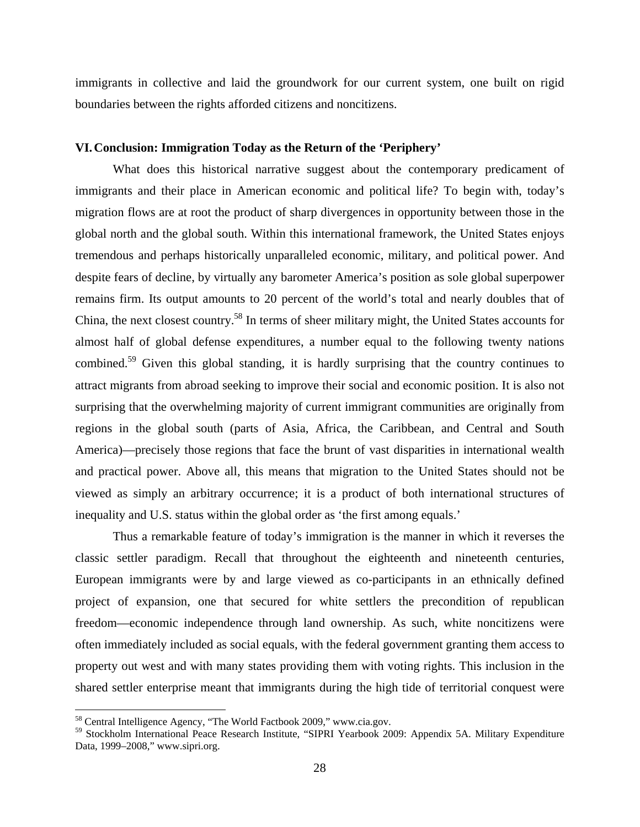immigrants in collective and laid the groundwork for our current system, one built on rigid boundaries between the rights afforded citizens and noncitizens.

### **VI.Conclusion: Immigration Today as the Return of the 'Periphery'**

What does this historical narrative suggest about the contemporary predicament of immigrants and their place in American economic and political life? To begin with, today's migration flows are at root the product of sharp divergences in opportunity between those in the global north and the global south. Within this international framework, the United States enjoys tremendous and perhaps historically unparalleled economic, military, and political power. And despite fears of decline, by virtually any barometer America's position as sole global superpower remains firm. Its output amounts to 20 percent of the world's total and nearly doubles that of China, the next closest country.58 In terms of sheer military might, the United States accounts for almost half of global defense expenditures, a number equal to the following twenty nations combined.59 Given this global standing, it is hardly surprising that the country continues to attract migrants from abroad seeking to improve their social and economic position. It is also not surprising that the overwhelming majority of current immigrant communities are originally from regions in the global south (parts of Asia, Africa, the Caribbean, and Central and South America)—precisely those regions that face the brunt of vast disparities in international wealth and practical power. Above all, this means that migration to the United States should not be viewed as simply an arbitrary occurrence; it is a product of both international structures of inequality and U.S. status within the global order as 'the first among equals.'

Thus a remarkable feature of today's immigration is the manner in which it reverses the classic settler paradigm. Recall that throughout the eighteenth and nineteenth centuries, European immigrants were by and large viewed as co-participants in an ethnically defined project of expansion, one that secured for white settlers the precondition of republican freedom—economic independence through land ownership. As such, white noncitizens were often immediately included as social equals, with the federal government granting them access to property out west and with many states providing them with voting rights. This inclusion in the shared settler enterprise meant that immigrants during the high tide of territorial conquest were

<sup>58</sup> Central Intelligence Agency, "The World Factbook 2009," www.cia.gov.

<sup>59</sup> Stockholm International Peace Research Institute, "SIPRI Yearbook 2009: Appendix 5A. Military Expenditure Data, 1999–2008," www.sipri.org.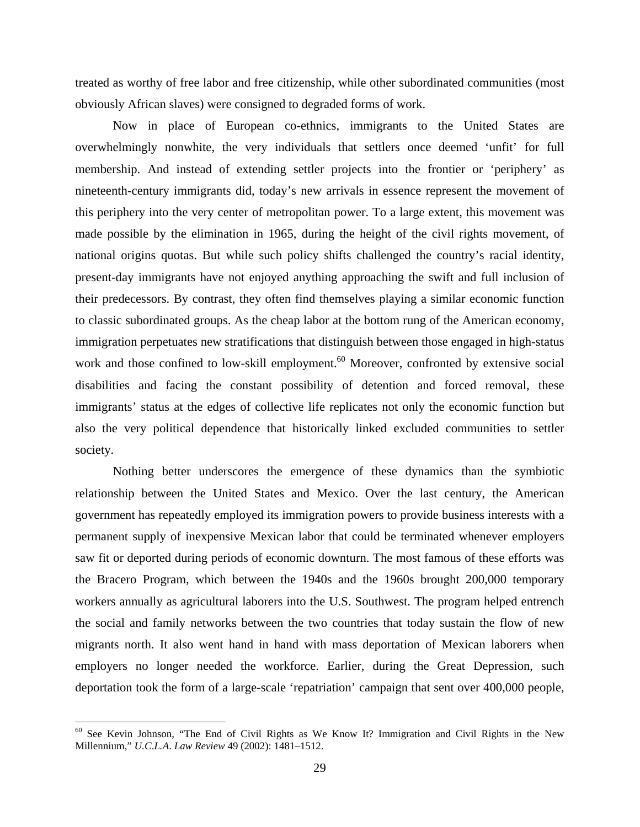treated as worthy of free labor and free citizenship, while other subordinated communities (most obviously African slaves) were consigned to degraded forms of work.

 Now in place of European co-ethnics, immigrants to the United States are overwhelmingly nonwhite, the very individuals that settlers once deemed 'unfit' for full membership. And instead of extending settler projects into the frontier or 'periphery' as nineteenth-century immigrants did, today's new arrivals in essence represent the movement of this periphery into the very center of metropolitan power. To a large extent, this movement was made possible by the elimination in 1965, during the height of the civil rights movement, of national origins quotas. But while such policy shifts challenged the country's racial identity, present-day immigrants have not enjoyed anything approaching the swift and full inclusion of their predecessors. By contrast, they often find themselves playing a similar economic function to classic subordinated groups. As the cheap labor at the bottom rung of the American economy, immigration perpetuates new stratifications that distinguish between those engaged in high-status work and those confined to low-skill employment.<sup>60</sup> Moreover, confronted by extensive social disabilities and facing the constant possibility of detention and forced removal, these immigrants' status at the edges of collective life replicates not only the economic function but also the very political dependence that historically linked excluded communities to settler society.

 Nothing better underscores the emergence of these dynamics than the symbiotic relationship between the United States and Mexico. Over the last century, the American government has repeatedly employed its immigration powers to provide business interests with a permanent supply of inexpensive Mexican labor that could be terminated whenever employers saw fit or deported during periods of economic downturn. The most famous of these efforts was the Bracero Program, which between the 1940s and the 1960s brought 200,000 temporary workers annually as agricultural laborers into the U.S. Southwest. The program helped entrench the social and family networks between the two countries that today sustain the flow of new migrants north. It also went hand in hand with mass deportation of Mexican laborers when employers no longer needed the workforce. Earlier, during the Great Depression, such deportation took the form of a large-scale 'repatriation' campaign that sent over 400,000 people,

<sup>60</sup> See Kevin Johnson, "The End of Civil Rights as We Know It? Immigration and Civil Rights in the New Millennium," *U.C*.*L.A*. *Law Review* 49 (2002): 1481–1512.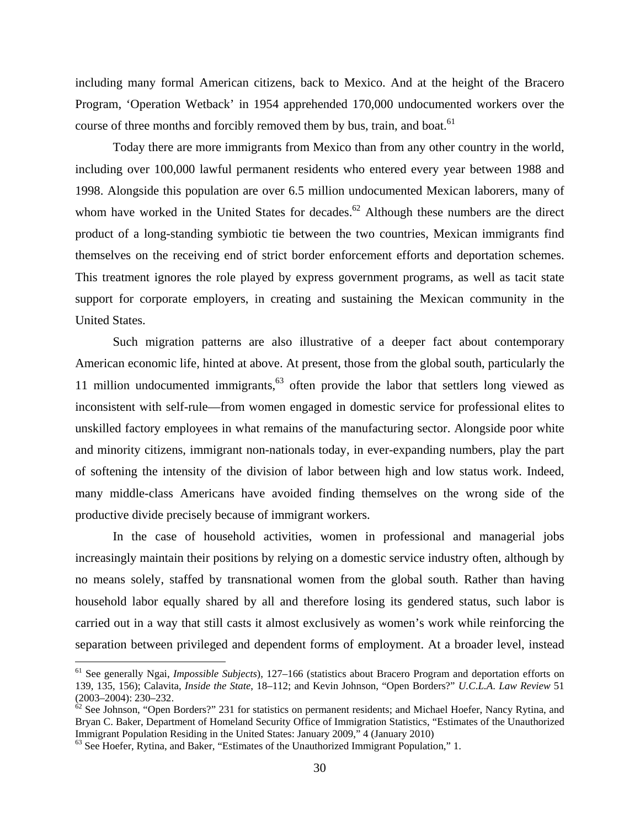including many formal American citizens, back to Mexico. And at the height of the Bracero Program, 'Operation Wetback' in 1954 apprehended 170,000 undocumented workers over the course of three months and forcibly removed them by bus, train, and boat.<sup>61</sup>

 Today there are more immigrants from Mexico than from any other country in the world, including over 100,000 lawful permanent residents who entered every year between 1988 and 1998. Alongside this population are over 6.5 million undocumented Mexican laborers, many of whom have worked in the United States for decades.<sup>62</sup> Although these numbers are the direct product of a long-standing symbiotic tie between the two countries, Mexican immigrants find themselves on the receiving end of strict border enforcement efforts and deportation schemes. This treatment ignores the role played by express government programs, as well as tacit state support for corporate employers, in creating and sustaining the Mexican community in the United States.

 Such migration patterns are also illustrative of a deeper fact about contemporary American economic life, hinted at above. At present, those from the global south, particularly the 11 million undocumented immigrants,  $63$  often provide the labor that settlers long viewed as inconsistent with self-rule—from women engaged in domestic service for professional elites to unskilled factory employees in what remains of the manufacturing sector. Alongside poor white and minority citizens, immigrant non-nationals today, in ever-expanding numbers, play the part of softening the intensity of the division of labor between high and low status work. Indeed, many middle-class Americans have avoided finding themselves on the wrong side of the productive divide precisely because of immigrant workers.

In the case of household activities, women in professional and managerial jobs increasingly maintain their positions by relying on a domestic service industry often, although by no means solely, staffed by transnational women from the global south. Rather than having household labor equally shared by all and therefore losing its gendered status, such labor is carried out in a way that still casts it almost exclusively as women's work while reinforcing the separation between privileged and dependent forms of employment. At a broader level, instead

<u>.</u>

<sup>61</sup> See generally Ngai, *Impossible Subjects*), 127–166 (statistics about Bracero Program and deportation efforts on 139, 135, 156); Calavita, *Inside the State*, 18–112; and Kevin Johnson, "Open Borders?" *U.C*.*L.A*. *Law Review* 51 (2003–2004): 230–232.

 $62$  See Johnson, "Open Borders?" 231 for statistics on permanent residents; and Michael Hoefer, Nancy Rytina, and Bryan C. Baker, Department of Homeland Security Office of Immigration Statistics, "Estimates of the Unauthorized Immigrant Population Residing in the United States: January 2009," 4 (January 2010)

<sup>&</sup>lt;sup>63</sup> See Hoefer, Rytina, and Baker, "Estimates of the Unauthorized Immigrant Population," 1.